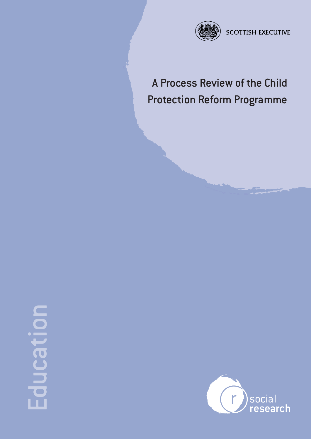

# A Process Review of the Child Protection Reform Programme

# Education ICal  $\overline{\bullet}$

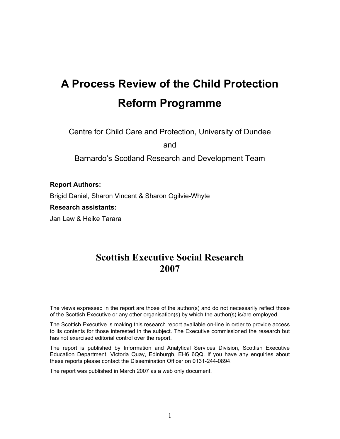# **A Process Review of the Child Protection Reform Programme**

Centre for Child Care and Protection, University of Dundee

and

Barnardo's Scotland Research and Development Team

# **Report Authors:**

Brigid Daniel, Sharon Vincent & Sharon Ogilvie-Whyte

#### **Research assistants:**

Jan Law & Heike Tarara

# **Scottish Executive Social Research 2007**

The views expressed in the report are those of the author(s) and do not necessarily reflect those of the Scottish Executive or any other organisation(s) by which the author(s) is/are employed.

The Scottish Executive is making this research report available on-line in order to provide access to its contents for those interested in the subject. The Executive commissioned the research but has not exercised editorial control over the report.

The report is published by Information and Analytical Services Division, Scottish Executive Education Department, Victoria Quay, Edinburgh, EH6 6QQ. If you have any enquiries about these reports please contact the Dissemination Officer on 0131-244-0894.

The report was published in March 2007 as a web only document.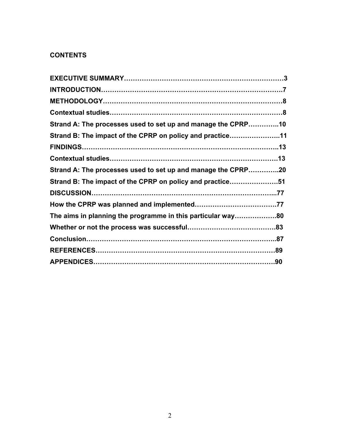# **CONTENTS**

| Strand A: The processes used to set up and manage the CPRP10 |  |
|--------------------------------------------------------------|--|
| Strand B: The impact of the CPRP on policy and practice11    |  |
|                                                              |  |
|                                                              |  |
| Strand A: The processes used to set up and manage the CPRP20 |  |
| Strand B: The impact of the CPRP on policy and practice51    |  |
|                                                              |  |
|                                                              |  |
| The aims in planning the programme in this particular way80  |  |
|                                                              |  |
|                                                              |  |
|                                                              |  |
|                                                              |  |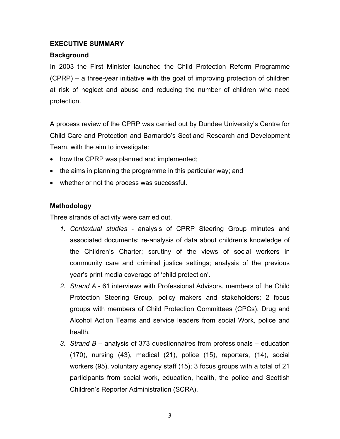# **EXECUTIVE SUMMARY**

# **Background**

In 2003 the First Minister launched the Child Protection Reform Programme (CPRP) – a three-year initiative with the goal of improving protection of children at risk of neglect and abuse and reducing the number of children who need protection.

A process review of the CPRP was carried out by Dundee University's Centre for Child Care and Protection and Barnardo's Scotland Research and Development Team, with the aim to investigate:

- how the CPRP was planned and implemented;
- the aims in planning the programme in this particular way; and
- whether or not the process was successful.

# **Methodology**

Three strands of activity were carried out.

- *1. Contextual studies -* analysis of CPRP Steering Group minutes and associated documents; re-analysis of data about children's knowledge of the Children's Charter; scrutiny of the views of social workers in community care and criminal justice settings; analysis of the previous year's print media coverage of 'child protection'.
- *2. Strand A*  61 interviews with Professional Advisors, members of the Child Protection Steering Group, policy makers and stakeholders; 2 focus groups with members of Child Protection Committees (CPCs), Drug and Alcohol Action Teams and service leaders from social Work, police and health.
- *3. Strand B* analysis of 373 questionnaires from professionals education (170), nursing (43), medical (21), police (15), reporters, (14), social workers (95), voluntary agency staff (15); 3 focus groups with a total of 21 participants from social work, education, health, the police and Scottish Children's Reporter Administration (SCRA).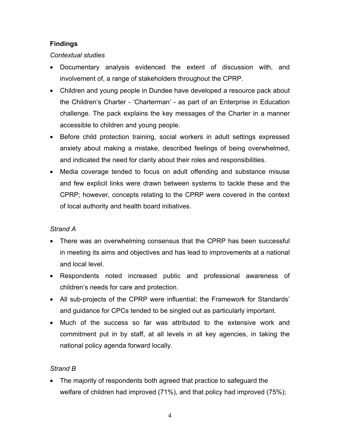# **Findings**

# *Contextual studies*

- Documentary analysis evidenced the extent of discussion with, and involvement of, a range of stakeholders throughout the CPRP.
- Children and young people in Dundee have developed a resource pack about the Children's Charter - 'Charterman' - as part of an Enterprise in Education challenge. The pack explains the key messages of the Charter in a manner accessible to children and young people.
- Before child protection training, social workers in adult settings expressed anxiety about making a mistake, described feelings of being overwhelmed, and indicated the need for clarity about their roles and responsibilities.
- Media coverage tended to focus on adult offending and substance misuse and few explicit links were drawn between systems to tackle these and the CPRP; however, concepts relating to the CPRP were covered in the context of local authority and health board initiatives.

# *Strand A*

- There was an overwhelming consensus that the CPRP has been successful in meeting its aims and objectives and has lead to improvements at a national and local level.
- Respondents noted increased public and professional awareness of children's needs for care and protection.
- All sub-projects of the CPRP were influential; the Framework for Standards' and guidance for CPCs tended to be singled out as particularly important.
- Much of the success so far was attributed to the extensive work and commitment put in by staff, at all levels in all key agencies, in taking the national policy agenda forward locally.

# *Strand B*

• The majority of respondents both agreed that practice to safeguard the welfare of children had improved (71%), and that policy had improved (75%);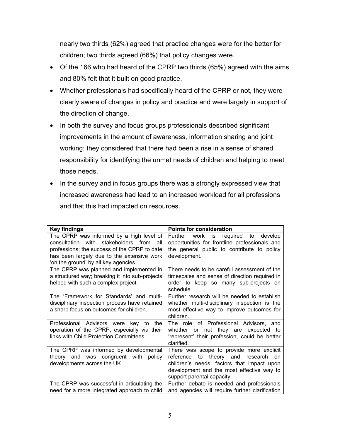nearly two thirds (62%) agreed that practice changes were for the better for children; two thirds agreed (66%) that policy changes were.

- Of the 166 who had heard of the CPRP two thirds (65%) agreed with the aims and 80% felt that it built on good practice.
- Whether professionals had specifically heard of the CPRP or not, they were clearly aware of changes in policy and practice and were largely in support of the direction of change.
- In both the survey and focus groups professionals described significant improvements in the amount of awareness, information sharing and joint working; they considered that there had been a rise in a sense of shared responsibility for identifying the unmet needs of children and helping to meet those needs.
- In the survey and in focus groups there was a strongly expressed view that increased awareness had lead to an increased workload for all professions and that this had impacted on resources.

| <b>Key findings</b>                             | <b>Points for consideration</b>                 |  |
|-------------------------------------------------|-------------------------------------------------|--|
| The CPRP was informed by a high level of        | Further work is required to<br>develop          |  |
| consultation with stakeholders from<br>all      | opportunities for frontline professionals and   |  |
| professions; the success of the CPRP to date    | the general public to contribute to policy      |  |
| has been largely due to the extensive work      | development.                                    |  |
| 'on the ground' by all key agencies.            |                                                 |  |
| The CPRP was planned and implemented in         | There needs to be careful assessment of the     |  |
| a structured way; breaking it into sub-projects | timescales and sense of direction required in   |  |
| helped with such a complex project.             | order to keep so many sub-projects on           |  |
|                                                 | schedule.                                       |  |
| The 'Framework for Standards' and multi-        | Further research will be needed to establish    |  |
| disciplinary inspection process have retained   | whether multi-disciplinary inspection is the    |  |
| a sharp focus on outcomes for children.         | most effective way to improve outcomes for      |  |
|                                                 | children.                                       |  |
| Professional Advisors were key to<br>the        | The role of Professional Advisors, and          |  |
| operation of the CPRP, especially via their     | whether or not they are expected to             |  |
| links with Child Protection Committees.         | 'represent' their profession, could be better   |  |
|                                                 | clarified.                                      |  |
| The CPRP was informed by developmental          | There was scope to provide more explicit        |  |
| theory and was congruent with<br>policy         | to theory and<br>reference<br>research<br>on    |  |
| developments across the UK.                     | children's needs, factors that impact upon      |  |
|                                                 | development and the most effective way to       |  |
|                                                 | support parental capacity.                      |  |
| The CPRP was successful in articulating the     | Further debate is needed and professionals      |  |
| need for a more integrated approach to child    | and agencies will require further clarification |  |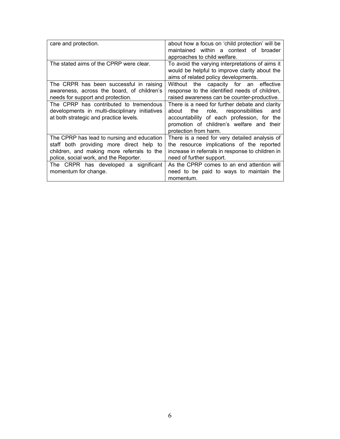| care and protection.                                                                                                                                                                                                                                             | about how a focus on 'child protection' will be<br>maintained within a context of broader<br>approaches to child welfare.                                                                                                                                                                                                        |
|------------------------------------------------------------------------------------------------------------------------------------------------------------------------------------------------------------------------------------------------------------------|----------------------------------------------------------------------------------------------------------------------------------------------------------------------------------------------------------------------------------------------------------------------------------------------------------------------------------|
| The stated aims of the CPRP were clear.                                                                                                                                                                                                                          | To avoid the varying interpretations of aims it<br>would be helpful to improve clarity about the<br>aims of related policy developments.                                                                                                                                                                                         |
| The CRPR has been successful in raising<br>awareness, across the board, of children's<br>needs for support and protection.<br>The CPRP has contributed to tremendous<br>developments in multi-disciplinary initiatives<br>at both strategic and practice levels. | Without the capacity for an effective<br>response to the identified needs of children,<br>raised awareness can be counter-productive.<br>There is a need for further debate and clarity<br>the role, responsibilities<br>and<br>about<br>accountability of each profession, for the<br>promotion of children's welfare and their |
| The CPRP has lead to nursing and education<br>staff both providing more direct help to<br>children, and making more referrals to the<br>police, social work, and the Reporter.<br>The CRPR has developed a significant                                           | protection from harm.<br>There is a need for very detailed analysis of<br>the resource implications of the reported<br>increase in referrals in response to children in<br>need of further support.<br>As the CPRP comes to an end attention will                                                                                |
| momentum for change.                                                                                                                                                                                                                                             | need to be paid to ways to maintain the<br>momentum.                                                                                                                                                                                                                                                                             |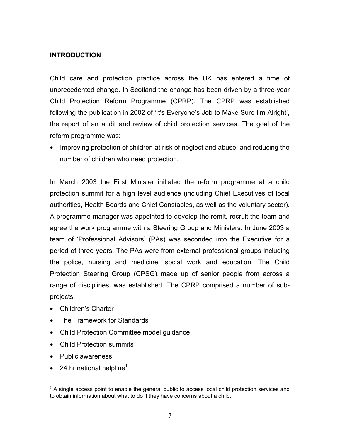## **INTRODUCTION**

Child care and protection practice across the UK has entered a time of unprecedented change. In Scotland the change has been driven by a three-year Child Protection Reform Programme (CPRP). The CPRP was established following the publication in 2002 of 'It's Everyone's Job to Make Sure I'm Alright', the report of an audit and review of child protection services. The goal of the reform programme was:

• Improving protection of children at risk of neglect and abuse; and reducing the number of children who need protection.

In March 2003 the First Minister initiated the reform programme at a child protection summit for a high level audience (including Chief Executives of local authorities, Health Boards and Chief Constables, as well as the voluntary sector). A programme manager was appointed to develop the remit, recruit the team and agree the work programme with a Steering Group and Ministers. In June 2003 a team of 'Professional Advisors' (PAs) was seconded into the Executive for a period of three years. The PAs were from external professional groups including the police, nursing and medicine, social work and education. The Child Protection Steering Group (CPSG), made up of senior people from across a range of disciplines, was established. The CPRP comprised a number of subprojects:

- Children's Charter
- The Framework for Standards
- Child Protection Committee model guidance
- Child Protection summits
- Public awareness

1

• 24 hr national helpline<sup>1</sup>

 $1$  A single access point to enable the general public to access local child protection services and to obtain information about what to do if they have concerns about a child.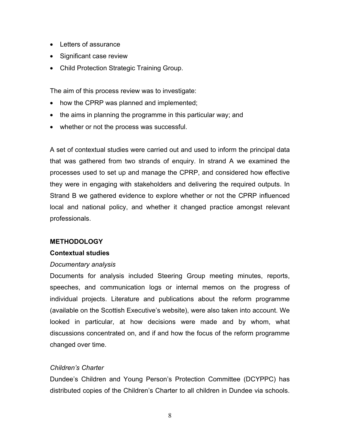- Letters of assurance
- Significant case review
- Child Protection Strategic Training Group.

The aim of this process review was to investigate:

- how the CPRP was planned and implemented;
- the aims in planning the programme in this particular way; and
- whether or not the process was successful.

A set of contextual studies were carried out and used to inform the principal data that was gathered from two strands of enquiry. In strand A we examined the processes used to set up and manage the CPRP, and considered how effective they were in engaging with stakeholders and delivering the required outputs. In Strand B we gathered evidence to explore whether or not the CPRP influenced local and national policy, and whether it changed practice amongst relevant professionals.

# **METHODOLOGY**

# **Contextual studies**

# *Documentary analysis*

Documents for analysis included Steering Group meeting minutes, reports, speeches, and communication logs or internal memos on the progress of individual projects. Literature and publications about the reform programme (available on the Scottish Executive's website), were also taken into account. We looked in particular, at how decisions were made and by whom, what discussions concentrated on, and if and how the focus of the reform programme changed over time.

# *Children's Charter*

Dundee's Children and Young Person's Protection Committee (DCYPPC) has distributed copies of the Children's Charter to all children in Dundee via schools.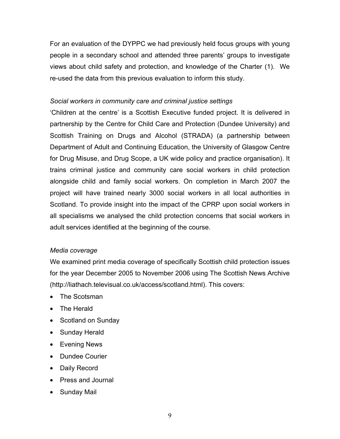For an evaluation of the DYPPC we had previously held focus groups with young people in a secondary school and attended three parents' groups to investigate views about child safety and protection, and knowledge of the Charter (1). We re-used the data from this previous evaluation to inform this study.

# *Social workers in community care and criminal justice settings*

'Children at the centre' is a Scottish Executive funded project. It is delivered in partnership by the Centre for Child Care and Protection (Dundee University) and Scottish Training on Drugs and Alcohol (STRADA) (a partnership between Department of Adult and Continuing Education, the University of Glasgow Centre for Drug Misuse, and Drug Scope, a UK wide policy and practice organisation). It trains criminal justice and community care social workers in child protection alongside child and family social workers. On completion in March 2007 the project will have trained nearly 3000 social workers in all local authorities in Scotland. To provide insight into the impact of the CPRP upon social workers in all specialisms we analysed the child protection concerns that social workers in adult services identified at the beginning of the course.

# *Media coverage*

We examined print media coverage of specifically Scottish child protection issues for the year December 2005 to November 2006 using The Scottish News Archive (http://liathach.televisual.co.uk/access/scotland.html). This covers:

- The Scotsman
- The Herald
- Scotland on Sunday
- Sunday Herald
- Evening News
- Dundee Courier
- Daily Record
- Press and Journal
- Sunday Mail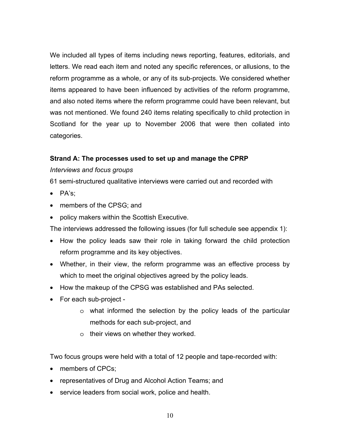We included all types of items including news reporting, features, editorials, and letters. We read each item and noted any specific references, or allusions, to the reform programme as a whole, or any of its sub-projects. We considered whether items appeared to have been influenced by activities of the reform programme, and also noted items where the reform programme could have been relevant, but was not mentioned. We found 240 items relating specifically to child protection in Scotland for the year up to November 2006 that were then collated into categories.

# **Strand A: The processes used to set up and manage the CPRP**

# *Interviews and focus groups*

61 semi-structured qualitative interviews were carried out and recorded with

- PA's;
- members of the CPSG; and
- policy makers within the Scottish Executive.

The interviews addressed the following issues (for full schedule see appendix 1):

- How the policy leads saw their role in taking forward the child protection reform programme and its key objectives.
- Whether, in their view, the reform programme was an effective process by which to meet the original objectives agreed by the policy leads.
- How the makeup of the CPSG was established and PAs selected.
- For each sub-project
	- o what informed the selection by the policy leads of the particular methods for each sub-project, and
	- o their views on whether they worked.

Two focus groups were held with a total of 12 people and tape-recorded with:

- members of CPCs;
- representatives of Drug and Alcohol Action Teams; and
- service leaders from social work, police and health.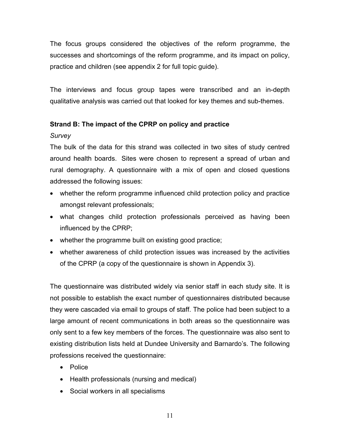The focus groups considered the objectives of the reform programme, the successes and shortcomings of the reform programme, and its impact on policy, practice and children (see appendix 2 for full topic guide).

The interviews and focus group tapes were transcribed and an in-depth qualitative analysis was carried out that looked for key themes and sub-themes.

# **Strand B: The impact of the CPRP on policy and practice**

# *Survey*

The bulk of the data for this strand was collected in two sites of study centred around health boards. Sites were chosen to represent a spread of urban and rural demography. A questionnaire with a mix of open and closed questions addressed the following issues:

- whether the reform programme influenced child protection policy and practice amongst relevant professionals;
- what changes child protection professionals perceived as having been influenced by the CPRP;
- whether the programme built on existing good practice;
- whether awareness of child protection issues was increased by the activities of the CPRP (a copy of the questionnaire is shown in Appendix 3).

The questionnaire was distributed widely via senior staff in each study site. It is not possible to establish the exact number of questionnaires distributed because they were cascaded via email to groups of staff. The police had been subject to a large amount of recent communications in both areas so the questionnaire was only sent to a few key members of the forces. The questionnaire was also sent to existing distribution lists held at Dundee University and Barnardo's. The following professions received the questionnaire:

- Police
- Health professionals (nursing and medical)
- Social workers in all specialisms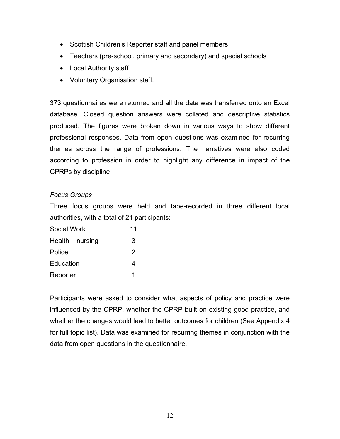- Scottish Children's Reporter staff and panel members
- Teachers (pre-school, primary and secondary) and special schools
- Local Authority staff
- Voluntary Organisation staff.

373 questionnaires were returned and all the data was transferred onto an Excel database. Closed question answers were collated and descriptive statistics produced. The figures were broken down in various ways to show different professional responses. Data from open questions was examined for recurring themes across the range of professions. The narratives were also coded according to profession in order to highlight any difference in impact of the CPRPs by discipline.

# *Focus Groups*

Three focus groups were held and tape-recorded in three different local authorities, with a total of 21 participants:

| Social Work      | 11 |
|------------------|----|
| Health – nursing | 3  |
| Police           | 2  |
| Education        | 4  |
| Reporter         | 1  |

Participants were asked to consider what aspects of policy and practice were influenced by the CPRP, whether the CPRP built on existing good practice, and whether the changes would lead to better outcomes for children (See Appendix 4 for full topic list). Data was examined for recurring themes in conjunction with the data from open questions in the questionnaire.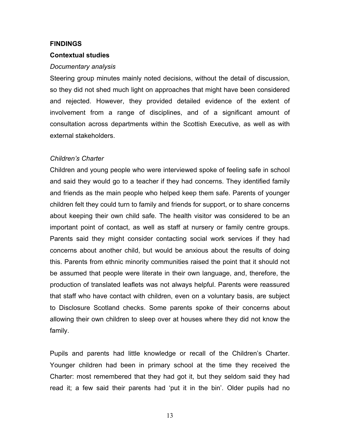#### **FINDINGS**

#### **Contextual studies**

#### *Documentary analysis*

Steering group minutes mainly noted decisions, without the detail of discussion, so they did not shed much light on approaches that might have been considered and rejected. However, they provided detailed evidence of the extent of involvement from a range of disciplines, and of a significant amount of consultation across departments within the Scottish Executive, as well as with external stakeholders.

#### *Children's Charter*

Children and young people who were interviewed spoke of feeling safe in school and said they would go to a teacher if they had concerns. They identified family and friends as the main people who helped keep them safe. Parents of younger children felt they could turn to family and friends for support, or to share concerns about keeping their own child safe. The health visitor was considered to be an important point of contact, as well as staff at nursery or family centre groups. Parents said they might consider contacting social work services if they had concerns about another child, but would be anxious about the results of doing this. Parents from ethnic minority communities raised the point that it should not be assumed that people were literate in their own language, and, therefore, the production of translated leaflets was not always helpful. Parents were reassured that staff who have contact with children, even on a voluntary basis, are subject to Disclosure Scotland checks. Some parents spoke of their concerns about allowing their own children to sleep over at houses where they did not know the family.

Pupils and parents had little knowledge or recall of the Children's Charter. Younger children had been in primary school at the time they received the Charter: most remembered that they had got it, but they seldom said they had read it; a few said their parents had 'put it in the bin'. Older pupils had no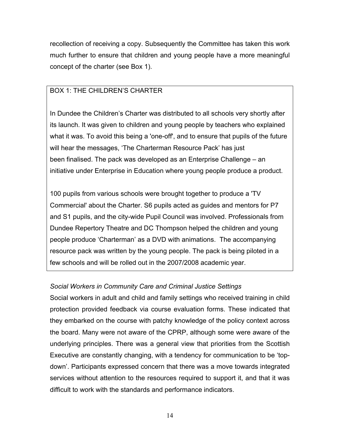recollection of receiving a copy. Subsequently the Committee has taken this work much further to ensure that children and young people have a more meaningful concept of the charter (see Box 1).

# BOX 1: THE CHILDREN'S CHARTER

In Dundee the Children's Charter was distributed to all schools very shortly after its launch. It was given to children and young people by teachers who explained what it was. To avoid this being a 'one-off', and to ensure that pupils of the future will hear the messages, 'The Charterman Resource Pack' has just been finalised. The pack was developed as an Enterprise Challenge – an initiative under Enterprise in Education where young people produce a product.

100 pupils from various schools were brought together to produce a 'TV Commercial' about the Charter. S6 pupils acted as guides and mentors for P7 and S1 pupils, and the city-wide Pupil Council was involved. Professionals from Dundee Repertory Theatre and DC Thompson helped the children and young people produce 'Charterman' as a DVD with animations. The accompanying resource pack was written by the young people. The pack is being piloted in a few schools and will be rolled out in the 2007/2008 academic year.

# *Social Workers in Community Care and Criminal Justice Settings*

Social workers in adult and child and family settings who received training in child protection provided feedback via course evaluation forms. These indicated that they embarked on the course with patchy knowledge of the policy context across the board. Many were not aware of the CPRP, although some were aware of the underlying principles. There was a general view that priorities from the Scottish Executive are constantly changing, with a tendency for communication to be 'topdown'. Participants expressed concern that there was a move towards integrated services without attention to the resources required to support it, and that it was difficult to work with the standards and performance indicators.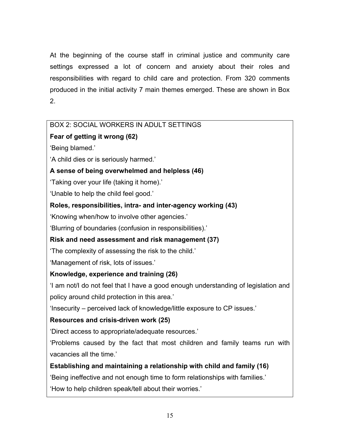At the beginning of the course staff in criminal justice and community care settings expressed a lot of concern and anxiety about their roles and responsibilities with regard to child care and protection. From 320 comments produced in the initial activity 7 main themes emerged. These are shown in Box 2.

# BOX 2: SOCIAL WORKERS IN ADULT SETTINGS **Fear of getting it wrong (62)**  'Being blamed.' 'A child dies or is seriously harmed.' **A sense of being overwhelmed and helpless (46)**  'Taking over your life (taking it home).' 'Unable to help the child feel good.' **Roles, responsibilities, intra- and inter-agency working (43)**  'Knowing when/how to involve other agencies.' 'Blurring of boundaries (confusion in responsibilities).' **Risk and need assessment and risk management (37)**  'The complexity of assessing the risk to the child.' 'Management of risk, lots of issues.' **Knowledge, experience and training (26)**  'I am not/I do not feel that I have a good enough understanding of legislation and policy around child protection in this area.' 'Insecurity – perceived lack of knowledge/little exposure to CP issues.' **Resources and crisis-driven work (25)**  'Direct access to appropriate/adequate resources.' 'Problems caused by the fact that most children and family teams run with vacancies all the time.' **Establishing and maintaining a relationship with child and family (16)**  'Being ineffective and not enough time to form relationships with families.' 'How to help children speak/tell about their worries.'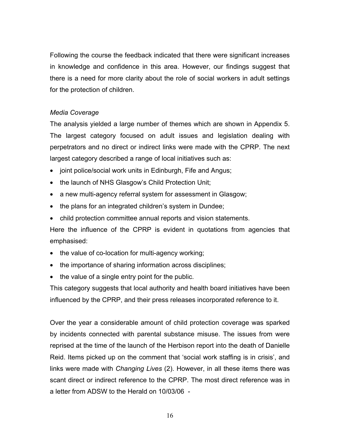Following the course the feedback indicated that there were significant increases in knowledge and confidence in this area. However, our findings suggest that there is a need for more clarity about the role of social workers in adult settings for the protection of children.

# *Media Coverage*

The analysis yielded a large number of themes which are shown in Appendix 5. The largest category focused on adult issues and legislation dealing with perpetrators and no direct or indirect links were made with the CPRP. The next largest category described a range of local initiatives such as:

- joint police/social work units in Edinburgh, Fife and Angus;
- the launch of NHS Glasgow's Child Protection Unit;
- a new multi-agency referral system for assessment in Glasgow;
- the plans for an integrated children's system in Dundee;
- child protection committee annual reports and vision statements.

Here the influence of the CPRP is evident in quotations from agencies that emphasised:

- the value of co-location for multi-agency working;
- the importance of sharing information across disciplines;
- the value of a single entry point for the public.

This category suggests that local authority and health board initiatives have been influenced by the CPRP, and their press releases incorporated reference to it.

Over the year a considerable amount of child protection coverage was sparked by incidents connected with parental substance misuse. The issues from were reprised at the time of the launch of the Herbison report into the death of Danielle Reid. Items picked up on the comment that 'social work staffing is in crisis', and links were made with *Changing Lives* (2). However, in all these items there was scant direct or indirect reference to the CPRP. The most direct reference was in a letter from ADSW to the Herald on 10/03/06 -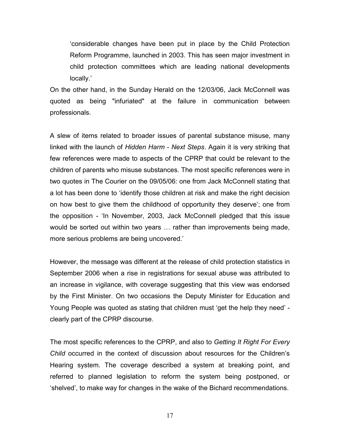'considerable changes have been put in place by the Child Protection Reform Programme, launched in 2003. This has seen major investment in child protection committees which are leading national developments locally.'

On the other hand, in the Sunday Herald on the 12/03/06, Jack McConnell was quoted as being "infuriated" at the failure in communication between professionals.

A slew of items related to broader issues of parental substance misuse, many linked with the launch of *Hidden Harm - Next Steps*. Again it is very striking that few references were made to aspects of the CPRP that could be relevant to the children of parents who misuse substances. The most specific references were in two quotes in The Courier on the 09/05/06: one from Jack McConnell stating that a lot has been done to 'identify those children at risk and make the right decision on how best to give them the childhood of opportunity they deserve'; one from the opposition - 'In November, 2003, Jack McConnell pledged that this issue would be sorted out within two years … rather than improvements being made, more serious problems are being uncovered.'

However, the message was different at the release of child protection statistics in September 2006 when a rise in registrations for sexual abuse was attributed to an increase in vigilance, with coverage suggesting that this view was endorsed by the First Minister. On two occasions the Deputy Minister for Education and Young People was quoted as stating that children must 'get the help they need' clearly part of the CPRP discourse.

The most specific references to the CPRP, and also to *Getting It Right For Every Child* occurred in the context of discussion about resources for the Children's Hearing system. The coverage described a system at breaking point, and referred to planned legislation to reform the system being postponed, or 'shelved', to make way for changes in the wake of the Bichard recommendations.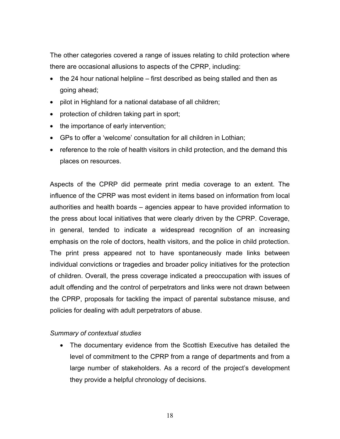The other categories covered a range of issues relating to child protection where there are occasional allusions to aspects of the CPRP, including:

- the 24 hour national helpline first described as being stalled and then as going ahead;
- pilot in Highland for a national database of all children;
- protection of children taking part in sport;
- the importance of early intervention;
- GPs to offer a 'welcome' consultation for all children in Lothian;
- reference to the role of health visitors in child protection, and the demand this places on resources.

Aspects of the CPRP did permeate print media coverage to an extent. The influence of the CPRP was most evident in items based on information from local authorities and health boards – agencies appear to have provided information to the press about local initiatives that were clearly driven by the CPRP. Coverage, in general, tended to indicate a widespread recognition of an increasing emphasis on the role of doctors, health visitors, and the police in child protection. The print press appeared not to have spontaneously made links between individual convictions or tragedies and broader policy initiatives for the protection of children. Overall, the press coverage indicated a preoccupation with issues of adult offending and the control of perpetrators and links were not drawn between the CPRP, proposals for tackling the impact of parental substance misuse, and policies for dealing with adult perpetrators of abuse.

#### *Summary of contextual studies*

• The documentary evidence from the Scottish Executive has detailed the level of commitment to the CPRP from a range of departments and from a large number of stakeholders. As a record of the project's development they provide a helpful chronology of decisions.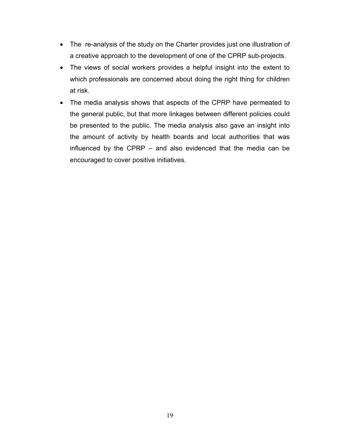- The re-analysis of the study on the Charter provides just one illustration of a creative approach to the development of one of the CPRP sub-projects.
- The views of social workers provides a helpful insight into the extent to which professionals are concerned about doing the right thing for children at risk.
- The media analysis shows that aspects of the CPRP have permeated to the general public, but that more linkages between different policies could be presented to the public. The media analysis also gave an insight into the amount of activity by health boards and local authorities that was influenced by the CPRP – and also evidenced that the media can be encouraged to cover positive initiatives.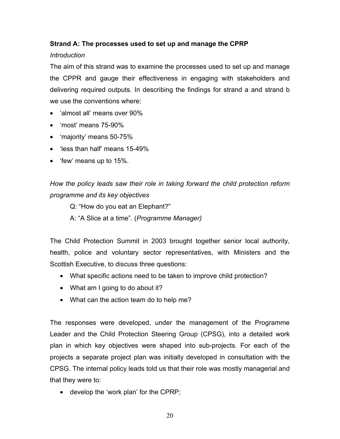# **Strand A: The processes used to set up and manage the CPRP**

# *Introduction*

The aim of this strand was to examine the processes used to set up and manage the CPPR and gauge their effectiveness in engaging with stakeholders and delivering required outputs. In describing the findings for strand a and strand b we use the conventions where:

- 'almost all' means over 90%
- 'most' means 75-90%
- 'majority' means 50-75%
- 'less than half' means 15-49%
- 'few' means up to 15%.

*How the policy leads saw their role in taking forward the child protection reform programme and its key objectives* 

Q: "How do you eat an Elephant?"

A: "A Slice at a time". (*Programme Manager)* 

The Child Protection Summit in 2003 brought together senior local authority, health, police and voluntary sector representatives, with Ministers and the Scottish Executive, to discuss three questions:

- What specific actions need to be taken to improve child protection?
- What am I going to do about it?
- What can the action team do to help me?

The responses were developed, under the management of the Programme Leader and the Child Protection Steering Group (CPSG), into a detailed work plan in which key objectives were shaped into sub-projects. For each of the projects a separate project plan was initially developed in consultation with the CPSG. The internal policy leads told us that their role was mostly managerial and that they were to:

• develop the 'work plan' for the CPRP;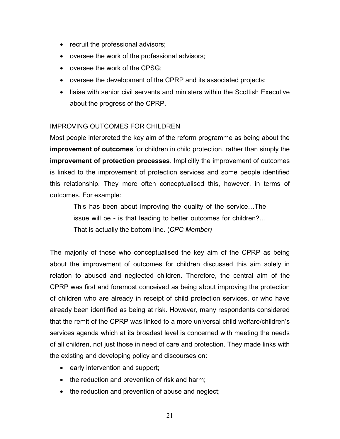- recruit the professional advisors;
- oversee the work of the professional advisors;
- oversee the work of the CPSG;
- oversee the development of the CPRP and its associated projects;
- liaise with senior civil servants and ministers within the Scottish Executive about the progress of the CPRP.

# IMPROVING OUTCOMES FOR CHILDREN

Most people interpreted the key aim of the reform programme as being about the **improvement of outcomes** for children in child protection, rather than simply the **improvement of protection processes**. Implicitly the improvement of outcomes is linked to the improvement of protection services and some people identified this relationship. They more often conceptualised this, however, in terms of outcomes. For example:

This has been about improving the quality of the service…The issue will be - is that leading to better outcomes for children?… That is actually the bottom line. (*CPC Member)* 

The majority of those who conceptualised the key aim of the CPRP as being about the improvement of outcomes for children discussed this aim solely in relation to abused and neglected children. Therefore, the central aim of the CPRP was first and foremost conceived as being about improving the protection of children who are already in receipt of child protection services, or who have already been identified as being at risk. However, many respondents considered that the remit of the CPRP was linked to a more universal child welfare/children's services agenda which at its broadest level is concerned with meeting the needs of all children, not just those in need of care and protection. They made links with the existing and developing policy and discourses on:

- early intervention and support;
- the reduction and prevention of risk and harm;
- the reduction and prevention of abuse and neglect;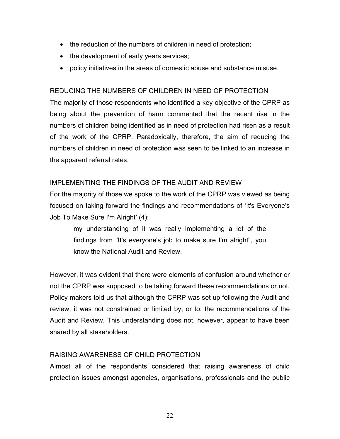- the reduction of the numbers of children in need of protection;
- the development of early years services;
- policy initiatives in the areas of domestic abuse and substance misuse.

# REDUCING THE NUMBERS OF CHILDREN IN NEED OF PROTECTION

The majority of those respondents who identified a key objective of the CPRP as being about the prevention of harm commented that the recent rise in the numbers of children being identified as in need of protection had risen as a result of the work of the CPRP. Paradoxically, therefore, the aim of reducing the numbers of children in need of protection was seen to be linked to an increase in the apparent referral rates.

# IMPLEMENTING THE FINDINGS OF THE AUDIT AND REVIEW

For the majority of those we spoke to the work of the CPRP was viewed as being focused on taking forward the findings and recommendations of 'It's Everyone's Job To Make Sure I'm Alright' (4):

my understanding of it was really implementing a lot of the findings from "It's everyone's job to make sure I'm alright", you know the National Audit and Review.

However, it was evident that there were elements of confusion around whether or not the CPRP was supposed to be taking forward these recommendations or not. Policy makers told us that although the CPRP was set up following the Audit and review, it was not constrained or limited by, or to, the recommendations of the Audit and Review. This understanding does not, however, appear to have been shared by all stakeholders.

# RAISING AWARENESS OF CHILD PROTECTION

Almost all of the respondents considered that raising awareness of child protection issues amongst agencies, organisations, professionals and the public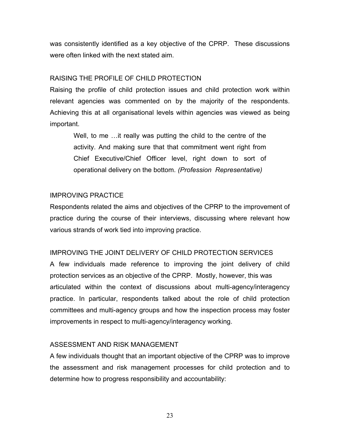was consistently identified as a key objective of the CPRP. These discussions were often linked with the next stated aim.

# RAISING THE PROFILE OF CHILD PROTECTION

Raising the profile of child protection issues and child protection work within relevant agencies was commented on by the majority of the respondents. Achieving this at all organisational levels within agencies was viewed as being important.

Well, to me …it really was putting the child to the centre of the activity. And making sure that that commitment went right from Chief Executive/Chief Officer level, right down to sort of operational delivery on the bottom. *(Profession Representative)*

# IMPROVING PRACTICE

Respondents related the aims and objectives of the CPRP to the improvement of practice during the course of their interviews, discussing where relevant how various strands of work tied into improving practice.

# IMPROVING THE JOINT DELIVERY OF CHILD PROTECTION SERVICES

A few individuals made reference to improving the joint delivery of child protection services as an objective of the CPRP. Mostly, however, this was articulated within the context of discussions about multi-agency/interagency practice. In particular, respondents talked about the role of child protection committees and multi-agency groups and how the inspection process may foster improvements in respect to multi-agency/interagency working.

# ASSESSMENT AND RISK MANAGEMENT

A few individuals thought that an important objective of the CPRP was to improve the assessment and risk management processes for child protection and to determine how to progress responsibility and accountability:

23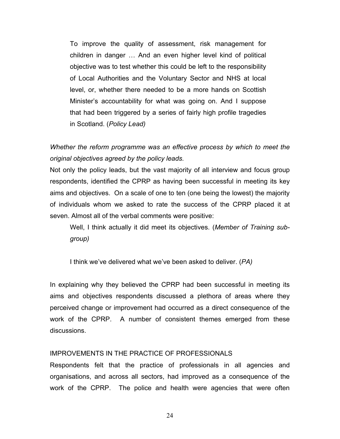To improve the quality of assessment, risk management for children in danger … And an even higher level kind of political objective was to test whether this could be left to the responsibility of Local Authorities and the Voluntary Sector and NHS at local level, or, whether there needed to be a more hands on Scottish Minister's accountability for what was going on. And I suppose that had been triggered by a series of fairly high profile tragedies in Scotland. (*Policy Lead)* 

*Whether the reform programme was an effective process by which to meet the original objectives agreed by the policy leads.* 

Not only the policy leads, but the vast majority of all interview and focus group respondents, identified the CPRP as having been successful in meeting its key aims and objectives. On a scale of one to ten (one being the lowest) the majority of individuals whom we asked to rate the success of the CPRP placed it at seven. Almost all of the verbal comments were positive:

Well, I think actually it did meet its objectives. (*Member of Training subgroup)* 

I think we've delivered what we've been asked to deliver. (*PA)* 

In explaining why they believed the CPRP had been successful in meeting its aims and objectives respondents discussed a plethora of areas where they perceived change or improvement had occurred as a direct consequence of the work of the CPRP. A number of consistent themes emerged from these discussions.

#### IMPROVEMENTS IN THE PRACTICE OF PROFESSIONALS

Respondents felt that the practice of professionals in all agencies and organisations, and across all sectors, had improved as a consequence of the work of the CPRP. The police and health were agencies that were often

24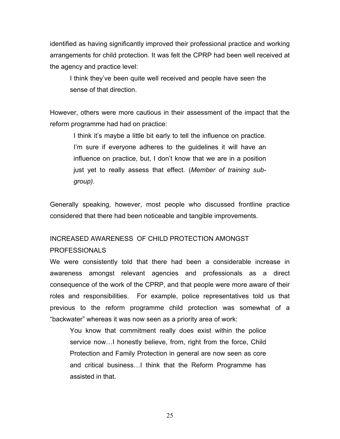identified as having significantly improved their professional practice and working arrangements for child protection. It was felt the CPRP had been well received at the agency and practice level:

I think they've been quite well received and people have seen the sense of that direction.

However, others were more cautious in their assessment of the impact that the reform programme had had on practice:

I think it's maybe a little bit early to tell the influence on practice. I'm sure if everyone adheres to the quidelines it will have an influence on practice, but, I don't know that we are in a position just yet to really assess that effect. (*Member of training subgroup).* 

Generally speaking, however, most people who discussed frontline practice considered that there had been noticeable and tangible improvements.

# INCREASED AWARENESS OF CHILD PROTECTION AMONGST

### PROFESSIONALS

We were consistently told that there had been a considerable increase in awareness amongst relevant agencies and professionals as a direct consequence of the work of the CPRP, and that people were more aware of their roles and responsibilities. For example, police representatives told us that previous to the reform programme child protection was somewhat of a "backwater" whereas it was now seen as a priority area of work:

You know that commitment really does exist within the police service now…I honestly believe, from, right from the force, Child Protection and Family Protection in general are now seen as core and critical business…I think that the Reform Programme has assisted in that.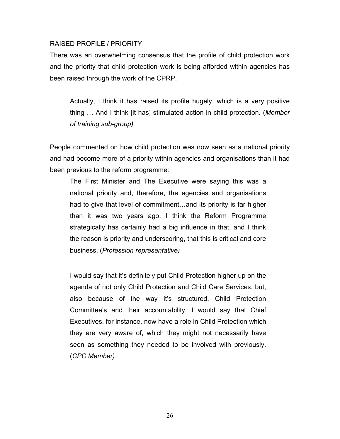### RAISED PROFILE / PRIORITY

There was an overwhelming consensus that the profile of child protection work and the priority that child protection work is being afforded within agencies has been raised through the work of the CPRP.

Actually, I think it has raised its profile hugely, which is a very positive thing … And I think [it has] stimulated action in child protection. (*Member of training sub-group)* 

People commented on how child protection was now seen as a national priority and had become more of a priority within agencies and organisations than it had been previous to the reform programme:

The First Minister and The Executive were saying this was a national priority and, therefore, the agencies and organisations had to give that level of commitment…and its priority is far higher than it was two years ago. I think the Reform Programme strategically has certainly had a big influence in that, and I think the reason is priority and underscoring, that this is critical and core business. (*Profession representative)* 

I would say that it's definitely put Child Protection higher up on the agenda of not only Child Protection and Child Care Services, but, also because of the way it's structured, Child Protection Committee's and their accountability. I would say that Chief Executives, for instance, now have a role in Child Protection which they are very aware of, which they might not necessarily have seen as something they needed to be involved with previously. (*CPC Member)*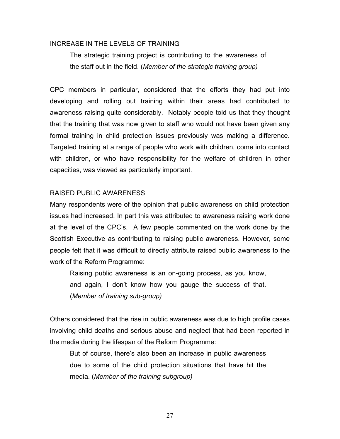#### INCREASE IN THE LEVELS OF TRAINING

The strategic training project is contributing to the awareness of the staff out in the field. (*Member of the strategic training group)* 

CPC members in particular, considered that the efforts they had put into developing and rolling out training within their areas had contributed to awareness raising quite considerably. Notably people told us that they thought that the training that was now given to staff who would not have been given any formal training in child protection issues previously was making a difference. Targeted training at a range of people who work with children, come into contact with children, or who have responsibility for the welfare of children in other capacities, was viewed as particularly important.

### RAISED PUBLIC AWARENESS

Many respondents were of the opinion that public awareness on child protection issues had increased. In part this was attributed to awareness raising work done at the level of the CPC's. A few people commented on the work done by the Scottish Executive as contributing to raising public awareness. However, some people felt that it was difficult to directly attribute raised public awareness to the work of the Reform Programme:

Raising public awareness is an on-going process, as you know, and again, I don't know how you gauge the success of that. (*Member of training sub-group)* 

Others considered that the rise in public awareness was due to high profile cases involving child deaths and serious abuse and neglect that had been reported in the media during the lifespan of the Reform Programme:

But of course, there's also been an increase in public awareness due to some of the child protection situations that have hit the media. (*Member of the training subgroup)*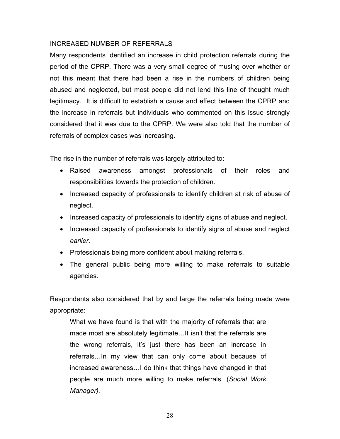# INCREASED NUMBER OF REFERRALS

Many respondents identified an increase in child protection referrals during the period of the CPRP. There was a very small degree of musing over whether or not this meant that there had been a rise in the numbers of children being abused and neglected, but most people did not lend this line of thought much legitimacy. It is difficult to establish a cause and effect between the CPRP and the increase in referrals but individuals who commented on this issue strongly considered that it was due to the CPRP. We were also told that the number of referrals of complex cases was increasing.

The rise in the number of referrals was largely attributed to:

- Raised awareness amongst professionals of their roles and responsibilities towards the protection of children.
- Increased capacity of professionals to identify children at risk of abuse of neglect.
- Increased capacity of professionals to identify signs of abuse and neglect.
- Increased capacity of professionals to identify signs of abuse and neglect *earlier*.
- Professionals being more confident about making referrals.
- The general public being more willing to make referrals to suitable agencies.

Respondents also considered that by and large the referrals being made were appropriate:

What we have found is that with the majority of referrals that are made most are absolutely legitimate…It isn't that the referrals are the wrong referrals, it's just there has been an increase in referrals…In my view that can only come about because of increased awareness…I do think that things have changed in that people are much more willing to make referrals. (*Social Work Manager).*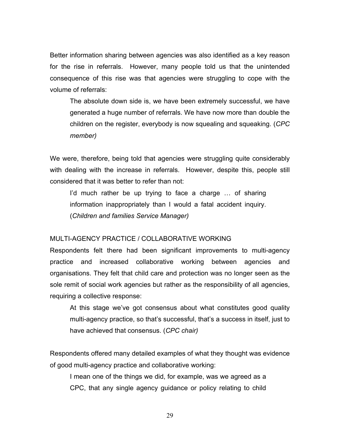Better information sharing between agencies was also identified as a key reason for the rise in referrals. However, many people told us that the unintended consequence of this rise was that agencies were struggling to cope with the volume of referrals:

The absolute down side is, we have been extremely successful, we have generated a huge number of referrals. We have now more than double the children on the register, everybody is now squealing and squeaking. (*CPC member)* 

We were, therefore, being told that agencies were struggling quite considerably with dealing with the increase in referrals. However, despite this, people still considered that it was better to refer than not:

I'd much rather be up trying to face a charge … of sharing information inappropriately than I would a fatal accident inquiry. (*Children and families Service Manager)* 

#### MULTI-AGENCY PRACTICE / COLLABORATIVE WORKING

Respondents felt there had been significant improvements to multi-agency practice and increased collaborative working between agencies and organisations. They felt that child care and protection was no longer seen as the sole remit of social work agencies but rather as the responsibility of all agencies, requiring a collective response:

At this stage we've got consensus about what constitutes good quality multi-agency practice, so that's successful, that's a success in itself, just to have achieved that consensus. (*CPC chair)* 

Respondents offered many detailed examples of what they thought was evidence of good multi-agency practice and collaborative working:

I mean one of the things we did, for example, was we agreed as a CPC, that any single agency guidance or policy relating to child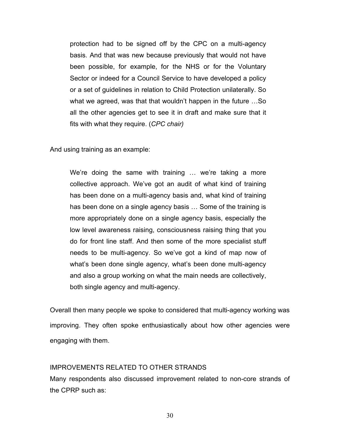protection had to be signed off by the CPC on a multi-agency basis. And that was new because previously that would not have been possible, for example, for the NHS or for the Voluntary Sector or indeed for a Council Service to have developed a policy or a set of guidelines in relation to Child Protection unilaterally. So what we agreed, was that that wouldn't happen in the future …So all the other agencies get to see it in draft and make sure that it fits with what they require. (*CPC chair)* 

And using training as an example:

We're doing the same with training … we're taking a more collective approach. We've got an audit of what kind of training has been done on a multi-agency basis and, what kind of training has been done on a single agency basis … Some of the training is more appropriately done on a single agency basis, especially the low level awareness raising, consciousness raising thing that you do for front line staff. And then some of the more specialist stuff needs to be multi-agency. So we've got a kind of map now of what's been done single agency, what's been done multi-agency and also a group working on what the main needs are collectively, both single agency and multi-agency.

Overall then many people we spoke to considered that multi-agency working was improving. They often spoke enthusiastically about how other agencies were engaging with them.

#### IMPROVEMENTS RELATED TO OTHER STRANDS

Many respondents also discussed improvement related to non-core strands of the CPRP such as: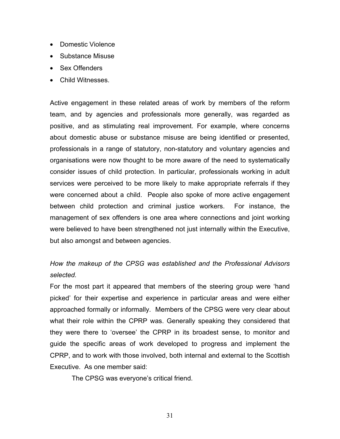- Domestic Violence
- Substance Misuse
- Sex Offenders
- Child Witnesses.

Active engagement in these related areas of work by members of the reform team, and by agencies and professionals more generally, was regarded as positive, and as stimulating real improvement. For example, where concerns about domestic abuse or substance misuse are being identified or presented, professionals in a range of statutory, non-statutory and voluntary agencies and organisations were now thought to be more aware of the need to systematically consider issues of child protection. In particular, professionals working in adult services were perceived to be more likely to make appropriate referrals if they were concerned about a child. People also spoke of more active engagement between child protection and criminal justice workers. For instance, the management of sex offenders is one area where connections and joint working were believed to have been strengthened not just internally within the Executive, but also amongst and between agencies.

*How the makeup of the CPSG was established and the Professional Advisors selected.* 

For the most part it appeared that members of the steering group were 'hand picked' for their expertise and experience in particular areas and were either approached formally or informally. Members of the CPSG were very clear about what their role within the CPRP was. Generally speaking they considered that they were there to 'oversee' the CPRP in its broadest sense, to monitor and guide the specific areas of work developed to progress and implement the CPRP, and to work with those involved, both internal and external to the Scottish Executive. As one member said:

The CPSG was everyone's critical friend.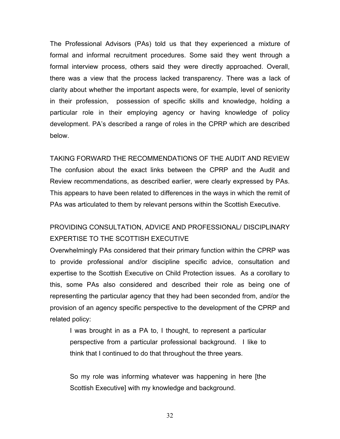The Professional Advisors (PAs) told us that they experienced a mixture of formal and informal recruitment procedures. Some said they went through a formal interview process, others said they were directly approached. Overall, there was a view that the process lacked transparency. There was a lack of clarity about whether the important aspects were, for example, level of seniority in their profession, possession of specific skills and knowledge, holding a particular role in their employing agency or having knowledge of policy development. PA's described a range of roles in the CPRP which are described below.

TAKING FORWARD THE RECOMMENDATIONS OF THE AUDIT AND REVIEW The confusion about the exact links between the CPRP and the Audit and Review recommendations, as described earlier, were clearly expressed by PAs. This appears to have been related to differences in the ways in which the remit of PAs was articulated to them by relevant persons within the Scottish Executive.

# PROVIDING CONSULTATION, ADVICE AND PROFESSIONAL/ DISCIPLINARY EXPERTISE TO THE SCOTTISH EXECUTIVE

Overwhelmingly PAs considered that their primary function within the CPRP was to provide professional and/or discipline specific advice, consultation and expertise to the Scottish Executive on Child Protection issues. As a corollary to this, some PAs also considered and described their role as being one of representing the particular agency that they had been seconded from, and/or the provision of an agency specific perspective to the development of the CPRP and related policy:

I was brought in as a PA to, I thought, to represent a particular perspective from a particular professional background. I like to think that I continued to do that throughout the three years.

So my role was informing whatever was happening in here [the Scottish Executive] with my knowledge and background.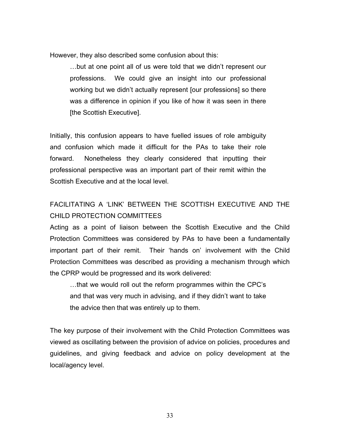However, they also described some confusion about this:

…but at one point all of us were told that we didn't represent our professions. We could give an insight into our professional working but we didn't actually represent [our professions] so there was a difference in opinion if you like of how it was seen in there [the Scottish Executive].

Initially, this confusion appears to have fuelled issues of role ambiguity and confusion which made it difficult for the PAs to take their role forward. Nonetheless they clearly considered that inputting their professional perspective was an important part of their remit within the Scottish Executive and at the local level.

# FACILITATING A 'LINK' BETWEEN THE SCOTTISH EXECUTIVE AND THE CHILD PROTECTION COMMITTEES

Acting as a point of liaison between the Scottish Executive and the Child Protection Committees was considered by PAs to have been a fundamentally important part of their remit. Their 'hands on' involvement with the Child Protection Committees was described as providing a mechanism through which the CPRP would be progressed and its work delivered:

…that we would roll out the reform programmes within the CPC's and that was very much in advising, and if they didn't want to take the advice then that was entirely up to them.

The key purpose of their involvement with the Child Protection Committees was viewed as oscillating between the provision of advice on policies, procedures and guidelines, and giving feedback and advice on policy development at the local/agency level.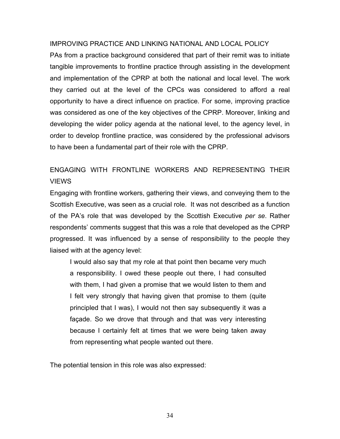#### IMPROVING PRACTICE AND LINKING NATIONAL AND LOCAL POLICY

PAs from a practice background considered that part of their remit was to initiate tangible improvements to frontline practice through assisting in the development and implementation of the CPRP at both the national and local level. The work they carried out at the level of the CPCs was considered to afford a real opportunity to have a direct influence on practice. For some, improving practice was considered as one of the key objectives of the CPRP. Moreover, linking and developing the wider policy agenda at the national level, to the agency level, in order to develop frontline practice, was considered by the professional advisors to have been a fundamental part of their role with the CPRP.

# ENGAGING WITH FRONTLINE WORKERS AND REPRESENTING THEIR VIEWS

Engaging with frontline workers, gathering their views, and conveying them to the Scottish Executive, was seen as a crucial role. It was not described as a function of the PA's role that was developed by the Scottish Executive *per se*. Rather respondents' comments suggest that this was a role that developed as the CPRP progressed. It was influenced by a sense of responsibility to the people they liaised with at the agency level:

I would also say that my role at that point then became very much a responsibility. I owed these people out there, I had consulted with them, I had given a promise that we would listen to them and I felt very strongly that having given that promise to them (quite principled that I was), I would not then say subsequently it was a façade. So we drove that through and that was very interesting because I certainly felt at times that we were being taken away from representing what people wanted out there.

The potential tension in this role was also expressed: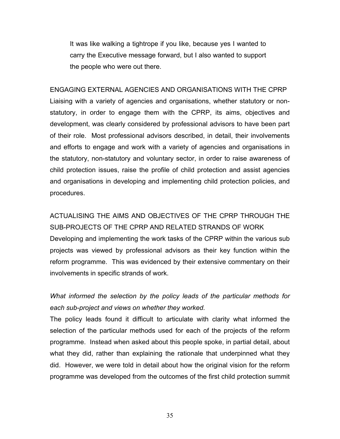It was like walking a tightrope if you like, because yes I wanted to carry the Executive message forward, but I also wanted to support the people who were out there.

ENGAGING EXTERNAL AGENCIES AND ORGANISATIONS WITH THE CPRP Liaising with a variety of agencies and organisations, whether statutory or nonstatutory, in order to engage them with the CPRP, its aims, objectives and development, was clearly considered by professional advisors to have been part of their role. Most professional advisors described, in detail, their involvements and efforts to engage and work with a variety of agencies and organisations in the statutory, non-statutory and voluntary sector, in order to raise awareness of child protection issues, raise the profile of child protection and assist agencies and organisations in developing and implementing child protection policies, and procedures.

ACTUALISING THE AIMS AND OBJECTIVES OF THE CPRP THROUGH THE SUB-PROJECTS OF THE CPRP AND RELATED STRANDS OF WORK Developing and implementing the work tasks of the CPRP within the various sub projects was viewed by professional advisors as their key function within the reform programme. This was evidenced by their extensive commentary on their involvements in specific strands of work.

*What informed the selection by the policy leads of the particular methods for each sub-project and views on whether they worked.* 

The policy leads found it difficult to articulate with clarity what informed the selection of the particular methods used for each of the projects of the reform programme. Instead when asked about this people spoke, in partial detail, about what they did, rather than explaining the rationale that underpinned what they did. However, we were told in detail about how the original vision for the reform programme was developed from the outcomes of the first child protection summit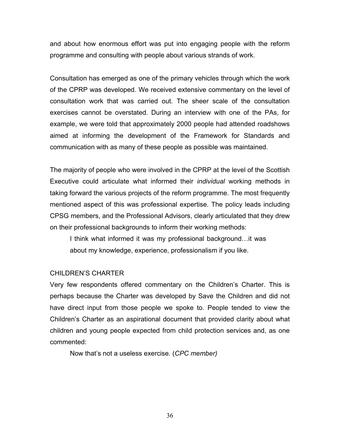and about how enormous effort was put into engaging people with the reform programme and consulting with people about various strands of work.

Consultation has emerged as one of the primary vehicles through which the work of the CPRP was developed. We received extensive commentary on the level of consultation work that was carried out. The sheer scale of the consultation exercises cannot be overstated. During an interview with one of the PAs, for example, we were told that approximately 2000 people had attended roadshows aimed at informing the development of the Framework for Standards and communication with as many of these people as possible was maintained.

The majority of people who were involved in the CPRP at the level of the Scottish Executive could articulate what informed their *individual* working methods in taking forward the various projects of the reform programme. The most frequently mentioned aspect of this was professional expertise. The policy leads including CPSG members, and the Professional Advisors, clearly articulated that they drew on their professional backgrounds to inform their working methods:

I think what informed it was my professional background…it was about my knowledge, experience, professionalism if you like.

#### CHILDREN'S CHARTER

Very few respondents offered commentary on the Children's Charter. This is perhaps because the Charter was developed by Save the Children and did not have direct input from those people we spoke to. People tended to view the Children's Charter as an aspirational document that provided clarity about what children and young people expected from child protection services and, as one commented:

Now that's not a useless exercise. (*CPC member)*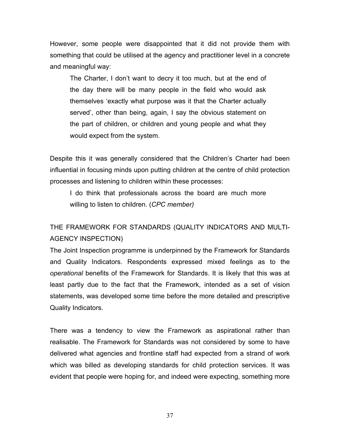However, some people were disappointed that it did not provide them with something that could be utilised at the agency and practitioner level in a concrete and meaningful way:

The Charter, I don't want to decry it too much, but at the end of the day there will be many people in the field who would ask themselves 'exactly what purpose was it that the Charter actually served', other than being, again, I say the obvious statement on the part of children, or children and young people and what they would expect from the system.

Despite this it was generally considered that the Children's Charter had been influential in focusing minds upon putting children at the centre of child protection processes and listening to children within these processes:

I do think that professionals across the board are much more willing to listen to children. (*CPC member)*

# THE FRAMEWORK FOR STANDARDS (QUALITY INDICATORS AND MULTI-AGENCY INSPECTION)

The Joint Inspection programme is underpinned by the Framework for Standards and Quality Indicators. Respondents expressed mixed feelings as to the *operational* benefits of the Framework for Standards. It is likely that this was at least partly due to the fact that the Framework, intended as a set of vision statements, was developed some time before the more detailed and prescriptive Quality Indicators.

There was a tendency to view the Framework as aspirational rather than realisable. The Framework for Standards was not considered by some to have delivered what agencies and frontline staff had expected from a strand of work which was billed as developing standards for child protection services. It was evident that people were hoping for, and indeed were expecting, something more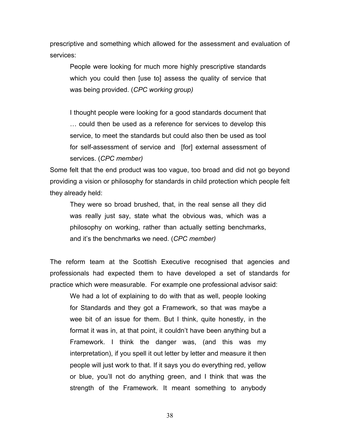prescriptive and something which allowed for the assessment and evaluation of services:

People were looking for much more highly prescriptive standards which you could then [use to] assess the quality of service that was being provided. (*CPC working group)* 

I thought people were looking for a good standards document that … could then be used as a reference for services to develop this service, to meet the standards but could also then be used as tool for self-assessment of service and [for] external assessment of services. (*CPC member)* 

Some felt that the end product was too vague, too broad and did not go beyond providing a vision or philosophy for standards in child protection which people felt they already held:

They were so broad brushed, that, in the real sense all they did was really just say, state what the obvious was, which was a philosophy on working, rather than actually setting benchmarks, and it's the benchmarks we need. (*CPC member)*

The reform team at the Scottish Executive recognised that agencies and professionals had expected them to have developed a set of standards for practice which were measurable. For example one professional advisor said:

We had a lot of explaining to do with that as well, people looking for Standards and they got a Framework, so that was maybe a wee bit of an issue for them. But I think, quite honestly, in the format it was in, at that point, it couldn't have been anything but a Framework. I think the danger was, (and this was my interpretation), if you spell it out letter by letter and measure it then people will just work to that. If it says you do everything red, yellow or blue, you'll not do anything green, and I think that was the strength of the Framework. It meant something to anybody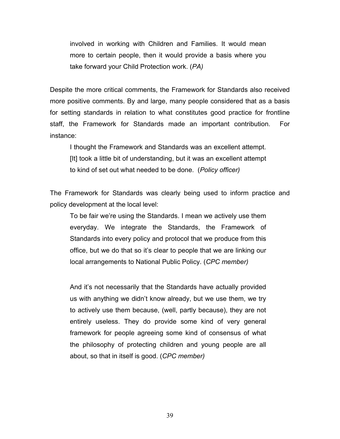involved in working with Children and Families. It would mean more to certain people, then it would provide a basis where you take forward your Child Protection work. (*PA)* 

Despite the more critical comments, the Framework for Standards also received more positive comments. By and large, many people considered that as a basis for setting standards in relation to what constitutes good practice for frontline staff, the Framework for Standards made an important contribution. For instance:

I thought the Framework and Standards was an excellent attempt. [It] took a little bit of understanding, but it was an excellent attempt to kind of set out what needed to be done. (*Policy officer)*

The Framework for Standards was clearly being used to inform practice and policy development at the local level:

To be fair we're using the Standards. I mean we actively use them everyday. We integrate the Standards, the Framework of Standards into every policy and protocol that we produce from this office, but we do that so it's clear to people that we are linking our local arrangements to National Public Policy. (*CPC member)*

And it's not necessarily that the Standards have actually provided us with anything we didn't know already, but we use them, we try to actively use them because, (well, partly because), they are not entirely useless. They do provide some kind of very general framework for people agreeing some kind of consensus of what the philosophy of protecting children and young people are all about, so that in itself is good. (*CPC member)*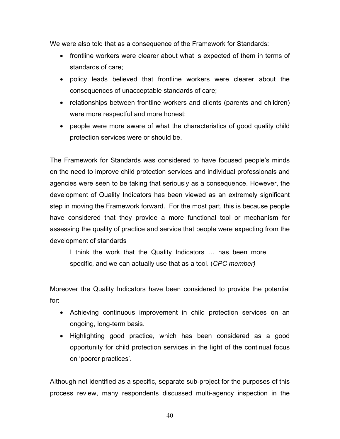We were also told that as a consequence of the Framework for Standards:

- frontline workers were clearer about what is expected of them in terms of standards of care;
- policy leads believed that frontline workers were clearer about the consequences of unacceptable standards of care;
- relationships between frontline workers and clients (parents and children) were more respectful and more honest;
- people were more aware of what the characteristics of good quality child protection services were or should be.

The Framework for Standards was considered to have focused people's minds on the need to improve child protection services and individual professionals and agencies were seen to be taking that seriously as a consequence. However, the development of Quality Indicators has been viewed as an extremely significant step in moving the Framework forward. For the most part, this is because people have considered that they provide a more functional tool or mechanism for assessing the quality of practice and service that people were expecting from the development of standards

I think the work that the Quality Indicators … has been more specific, and we can actually use that as a tool. (*CPC member)* 

Moreover the Quality Indicators have been considered to provide the potential for:

- Achieving continuous improvement in child protection services on an ongoing, long-term basis.
- Highlighting good practice, which has been considered as a good opportunity for child protection services in the light of the continual focus on 'poorer practices'.

Although not identified as a specific, separate sub-project for the purposes of this process review, many respondents discussed multi-agency inspection in the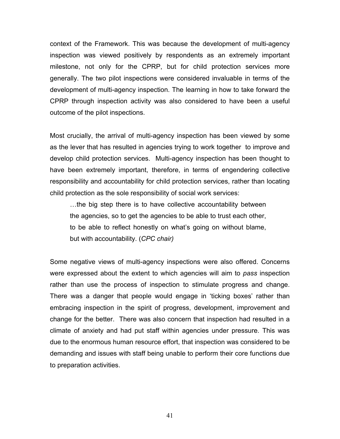context of the Framework. This was because the development of multi-agency inspection was viewed positively by respondents as an extremely important milestone, not only for the CPRP, but for child protection services more generally. The two pilot inspections were considered invaluable in terms of the development of multi-agency inspection. The learning in how to take forward the CPRP through inspection activity was also considered to have been a useful outcome of the pilot inspections.

Most crucially, the arrival of multi-agency inspection has been viewed by some as the lever that has resulted in agencies trying to work together to improve and develop child protection services. Multi-agency inspection has been thought to have been extremely important, therefore, in terms of engendering collective responsibility and accountability for child protection services, rather than locating child protection as the sole responsibility of social work services:

…the big step there is to have collective accountability between the agencies, so to get the agencies to be able to trust each other, to be able to reflect honestly on what's going on without blame, but with accountability. (*CPC chair)*

Some negative views of multi-agency inspections were also offered. Concerns were expressed about the extent to which agencies will aim to *pass* inspection rather than use the process of inspection to stimulate progress and change. There was a danger that people would engage in 'ticking boxes' rather than embracing inspection in the spirit of progress, development, improvement and change for the better. There was also concern that inspection had resulted in a climate of anxiety and had put staff within agencies under pressure. This was due to the enormous human resource effort, that inspection was considered to be demanding and issues with staff being unable to perform their core functions due to preparation activities.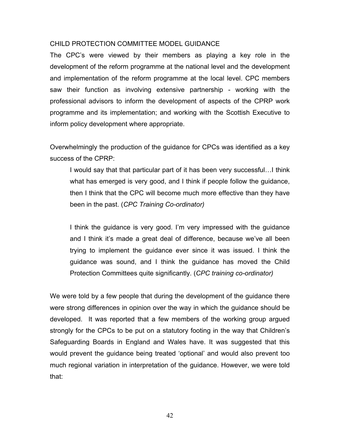#### CHILD PROTECTION COMMITTEE MODEL GUIDANCE

The CPC's were viewed by their members as playing a key role in the development of the reform programme at the national level and the development and implementation of the reform programme at the local level. CPC members saw their function as involving extensive partnership - working with the professional advisors to inform the development of aspects of the CPRP work programme and its implementation; and working with the Scottish Executive to inform policy development where appropriate.

Overwhelmingly the production of the guidance for CPCs was identified as a key success of the CPRP:

I would say that that particular part of it has been very successful…I think what has emerged is very good, and I think if people follow the guidance, then I think that the CPC will become much more effective than they have been in the past. (*CPC Training Co-ordinator)*

I think the guidance is very good. I'm very impressed with the guidance and I think it's made a great deal of difference, because we've all been trying to implement the guidance ever since it was issued. I think the guidance was sound, and I think the guidance has moved the Child Protection Committees quite significantly. (*CPC training co-ordinator)* 

We were told by a few people that during the development of the guidance there were strong differences in opinion over the way in which the guidance should be developed. It was reported that a few members of the working group argued strongly for the CPCs to be put on a statutory footing in the way that Children's Safeguarding Boards in England and Wales have. It was suggested that this would prevent the guidance being treated 'optional' and would also prevent too much regional variation in interpretation of the guidance. However, we were told that: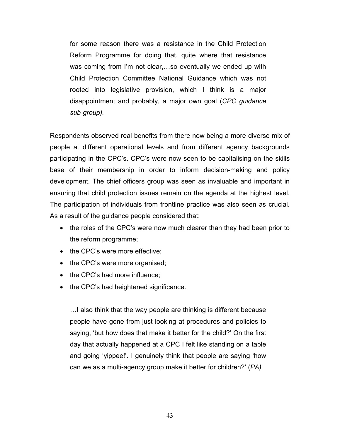for some reason there was a resistance in the Child Protection Reform Programme for doing that, quite where that resistance was coming from I'm not clear,…so eventually we ended up with Child Protection Committee National Guidance which was not rooted into legislative provision, which I think is a major disappointment and probably, a major own goal (*CPC guidance sub-group).* 

Respondents observed real benefits from there now being a more diverse mix of people at different operational levels and from different agency backgrounds participating in the CPC's. CPC's were now seen to be capitalising on the skills base of their membership in order to inform decision-making and policy development. The chief officers group was seen as invaluable and important in ensuring that child protection issues remain on the agenda at the highest level. The participation of individuals from frontline practice was also seen as crucial. As a result of the guidance people considered that:

- the roles of the CPC's were now much clearer than they had been prior to the reform programme;
- the CPC's were more effective;
- the CPC's were more organised;
- the CPC's had more influence:
- the CPC's had heightened significance.

…I also think that the way people are thinking is different because people have gone from just looking at procedures and policies to saying, 'but how does that make it better for the child?' On the first day that actually happened at a CPC I felt like standing on a table and going 'yippee!'. I genuinely think that people are saying 'how can we as a multi-agency group make it better for children?' (*PA)*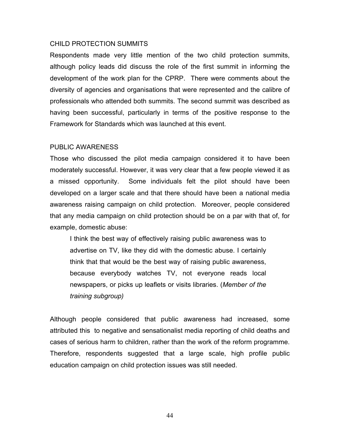#### CHILD PROTECTION SUMMITS

Respondents made very little mention of the two child protection summits, although policy leads did discuss the role of the first summit in informing the development of the work plan for the CPRP. There were comments about the diversity of agencies and organisations that were represented and the calibre of professionals who attended both summits. The second summit was described as having been successful, particularly in terms of the positive response to the Framework for Standards which was launched at this event.

#### PUBLIC AWARENESS

Those who discussed the pilot media campaign considered it to have been moderately successful. However, it was very clear that a few people viewed it as a missed opportunity. Some individuals felt the pilot should have been developed on a larger scale and that there should have been a national media awareness raising campaign on child protection. Moreover, people considered that any media campaign on child protection should be on a par with that of, for example, domestic abuse:

I think the best way of effectively raising public awareness was to advertise on TV, like they did with the domestic abuse. I certainly think that that would be the best way of raising public awareness, because everybody watches TV, not everyone reads local newspapers, or picks up leaflets or visits libraries. (*Member of the training subgroup)* 

Although people considered that public awareness had increased, some attributed this to negative and sensationalist media reporting of child deaths and cases of serious harm to children, rather than the work of the reform programme. Therefore, respondents suggested that a large scale, high profile public education campaign on child protection issues was still needed.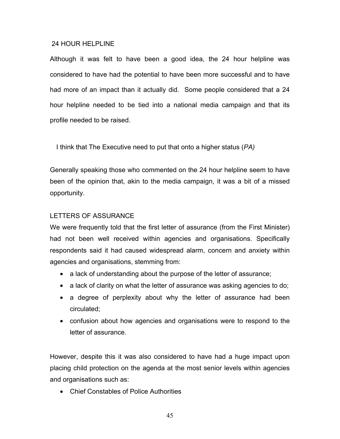#### 24 HOUR HELPLINE

Although it was felt to have been a good idea, the 24 hour helpline was considered to have had the potential to have been more successful and to have had more of an impact than it actually did. Some people considered that a 24 hour helpline needed to be tied into a national media campaign and that its profile needed to be raised.

I think that The Executive need to put that onto a higher status (*PA)* 

Generally speaking those who commented on the 24 hour helpline seem to have been of the opinion that, akin to the media campaign, it was a bit of a missed opportunity.

### LETTERS OF ASSURANCE

We were frequently told that the first letter of assurance (from the First Minister) had not been well received within agencies and organisations. Specifically respondents said it had caused widespread alarm, concern and anxiety within agencies and organisations, stemming from:

- a lack of understanding about the purpose of the letter of assurance;
- a lack of clarity on what the letter of assurance was asking agencies to do;
- a degree of perplexity about why the letter of assurance had been circulated;
- confusion about how agencies and organisations were to respond to the letter of assurance.

However, despite this it was also considered to have had a huge impact upon placing child protection on the agenda at the most senior levels within agencies and organisations such as:

• Chief Constables of Police Authorities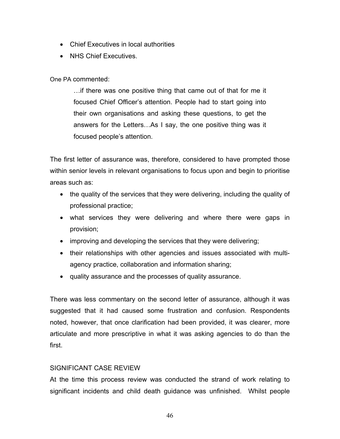- Chief Executives in local authorities
- NHS Chief Executives.

## One PA commented:

…if there was one positive thing that came out of that for me it focused Chief Officer's attention. People had to start going into their own organisations and asking these questions, to get the answers for the Letters…As I say, the one positive thing was it focused people's attention.

The first letter of assurance was, therefore, considered to have prompted those within senior levels in relevant organisations to focus upon and begin to prioritise areas such as:

- the quality of the services that they were delivering, including the quality of professional practice;
- what services they were delivering and where there were gaps in provision;
- improving and developing the services that they were delivering;
- their relationships with other agencies and issues associated with multiagency practice, collaboration and information sharing;
- quality assurance and the processes of quality assurance.

There was less commentary on the second letter of assurance, although it was suggested that it had caused some frustration and confusion. Respondents noted, however, that once clarification had been provided, it was clearer, more articulate and more prescriptive in what it was asking agencies to do than the first.

## SIGNIFICANT CASE REVIEW

At the time this process review was conducted the strand of work relating to significant incidents and child death guidance was unfinished. Whilst people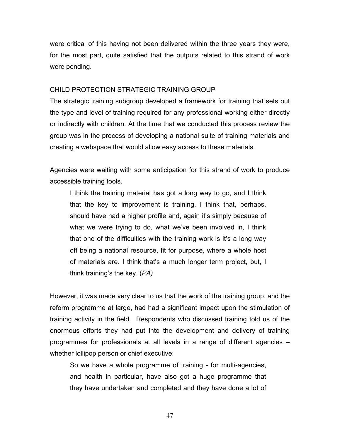were critical of this having not been delivered within the three years they were, for the most part, quite satisfied that the outputs related to this strand of work were pending.

### CHILD PROTECTION STRATEGIC TRAINING GROUP

The strategic training subgroup developed a framework for training that sets out the type and level of training required for any professional working either directly or indirectly with children. At the time that we conducted this process review the group was in the process of developing a national suite of training materials and creating a webspace that would allow easy access to these materials.

Agencies were waiting with some anticipation for this strand of work to produce accessible training tools.

I think the training material has got a long way to go, and I think that the key to improvement is training. I think that, perhaps, should have had a higher profile and, again it's simply because of what we were trying to do, what we've been involved in, I think that one of the difficulties with the training work is it's a long way off being a national resource, fit for purpose, where a whole host of materials are. I think that's a much longer term project, but, I think training's the key. (*PA)* 

However, it was made very clear to us that the work of the training group, and the reform programme at large, had had a significant impact upon the stimulation of training activity in the field. Respondents who discussed training told us of the enormous efforts they had put into the development and delivery of training programmes for professionals at all levels in a range of different agencies – whether lollipop person or chief executive:

So we have a whole programme of training - for multi-agencies, and health in particular, have also got a huge programme that they have undertaken and completed and they have done a lot of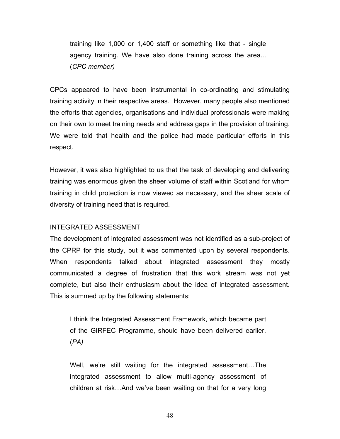training like 1,000 or 1,400 staff or something like that - single agency training. We have also done training across the area... (*CPC member)* 

CPCs appeared to have been instrumental in co-ordinating and stimulating training activity in their respective areas. However, many people also mentioned the efforts that agencies, organisations and individual professionals were making on their own to meet training needs and address gaps in the provision of training. We were told that health and the police had made particular efforts in this respect.

However, it was also highlighted to us that the task of developing and delivering training was enormous given the sheer volume of staff within Scotland for whom training in child protection is now viewed as necessary, and the sheer scale of diversity of training need that is required.

#### INTEGRATED ASSESSMENT

The development of integrated assessment was not identified as a sub-project of the CPRP for this study, but it was commented upon by several respondents. When respondents talked about integrated assessment they mostly communicated a degree of frustration that this work stream was not yet complete, but also their enthusiasm about the idea of integrated assessment. This is summed up by the following statements:

I think the Integrated Assessment Framework, which became part of the GIRFEC Programme, should have been delivered earlier. (*PA)*

Well, we're still waiting for the integrated assessment…The integrated assessment to allow multi-agency assessment of children at risk…And we've been waiting on that for a very long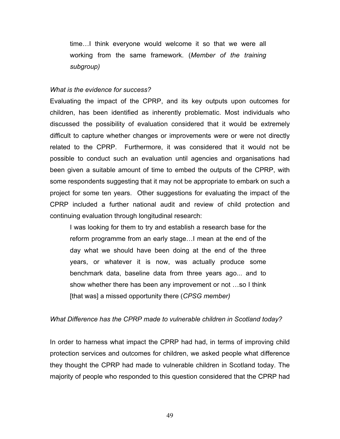time…I think everyone would welcome it so that we were all working from the same framework. (*Member of the training subgroup)* 

#### *What is the evidence for success?*

Evaluating the impact of the CPRP, and its key outputs upon outcomes for children, has been identified as inherently problematic. Most individuals who discussed the possibility of evaluation considered that it would be extremely difficult to capture whether changes or improvements were or were not directly related to the CPRP. Furthermore, it was considered that it would not be possible to conduct such an evaluation until agencies and organisations had been given a suitable amount of time to embed the outputs of the CPRP, with some respondents suggesting that it may not be appropriate to embark on such a project for some ten years. Other suggestions for evaluating the impact of the CPRP included a further national audit and review of child protection and continuing evaluation through longitudinal research:

I was looking for them to try and establish a research base for the reform programme from an early stage…I mean at the end of the day what we should have been doing at the end of the three years, or whatever it is now, was actually produce some benchmark data, baseline data from three years ago... and to show whether there has been any improvement or not …so I think [that was] a missed opportunity there (*CPSG member)* 

#### *What Difference has the CPRP made to vulnerable children in Scotland today?*

In order to harness what impact the CPRP had had, in terms of improving child protection services and outcomes for children, we asked people what difference they thought the CPRP had made to vulnerable children in Scotland today. The majority of people who responded to this question considered that the CPRP had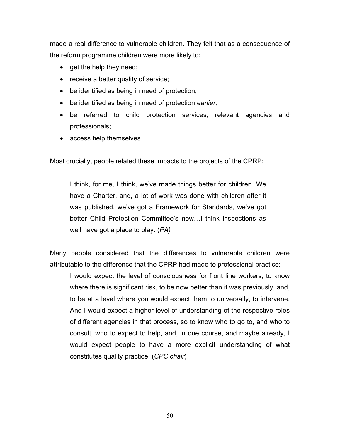made a real difference to vulnerable children. They felt that as a consequence of the reform programme children were more likely to:

- get the help they need;
- receive a better quality of service;
- be identified as being in need of protection;
- be identified as being in need of protection *earlier;*
- be referred to child protection services, relevant agencies and professionals;
- access help themselves.

Most crucially, people related these impacts to the projects of the CPRP:

I think, for me, I think, we've made things better for children. We have a Charter, and, a lot of work was done with children after it was published, we've got a Framework for Standards, we've got better Child Protection Committee's now…I think inspections as well have got a place to play. (*PA)*

Many people considered that the differences to vulnerable children were attributable to the difference that the CPRP had made to professional practice:

I would expect the level of consciousness for front line workers, to know where there is significant risk, to be now better than it was previously, and, to be at a level where you would expect them to universally, to intervene. And I would expect a higher level of understanding of the respective roles of different agencies in that process, so to know who to go to, and who to consult, who to expect to help, and, in due course, and maybe already, I would expect people to have a more explicit understanding of what constitutes quality practice. (*CPC chair*)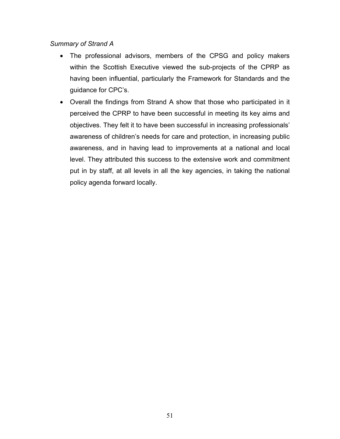## *Summary of Strand A*

- The professional advisors, members of the CPSG and policy makers within the Scottish Executive viewed the sub-projects of the CPRP as having been influential, particularly the Framework for Standards and the guidance for CPC's.
- Overall the findings from Strand A show that those who participated in it perceived the CPRP to have been successful in meeting its key aims and objectives. They felt it to have been successful in increasing professionals' awareness of children's needs for care and protection, in increasing public awareness, and in having lead to improvements at a national and local level. They attributed this success to the extensive work and commitment put in by staff, at all levels in all the key agencies, in taking the national policy agenda forward locally.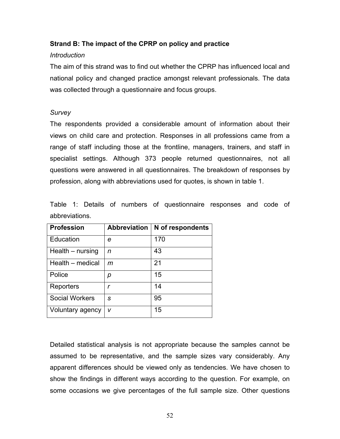## **Strand B: The impact of the CPRP on policy and practice**

### *Introduction*

The aim of this strand was to find out whether the CPRP has influenced local and national policy and changed practice amongst relevant professionals. The data was collected through a questionnaire and focus groups.

### *Survey*

The respondents provided a considerable amount of information about their views on child care and protection. Responses in all professions came from a range of staff including those at the frontline, managers, trainers, and staff in specialist settings. Although 373 people returned questionnaires, not all questions were answered in all questionnaires. The breakdown of responses by profession, along with abbreviations used for quotes, is shown in table 1.

Table 1: Details of numbers of questionnaire responses and code of abbreviations.

| <b>Profession</b>     | <b>Abbreviation</b> | N of respondents |
|-----------------------|---------------------|------------------|
| Education             | е                   | 170              |
| Health – nursing      | n                   | 43               |
| Health - medical      | m                   | 21               |
| Police                | р                   | 15               |
| Reporters             | r                   | 14               |
| <b>Social Workers</b> | S                   | 95               |
| Voluntary agency      | v                   | 15               |

Detailed statistical analysis is not appropriate because the samples cannot be assumed to be representative, and the sample sizes vary considerably. Any apparent differences should be viewed only as tendencies. We have chosen to show the findings in different ways according to the question. For example, on some occasions we give percentages of the full sample size. Other questions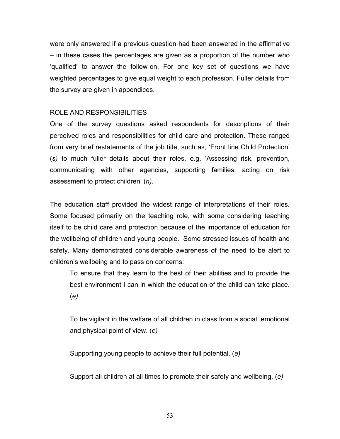were only answered if a previous question had been answered in the affirmative – in these cases the percentages are given as a proportion of the number who 'qualified' to answer the follow-on. For one key set of questions we have weighted percentages to give equal weight to each profession. Fuller details from the survey are given in appendices.

## ROLE AND RESPONSIBILITIES

One of the survey questions asked respondents for descriptions of their perceived roles and responsibilities for child care and protection. These ranged from very brief restatements of the job title, such as, 'Front line Child Protection' (*s)* to much fuller details about their roles, e.g. 'Assessing risk, prevention, communicating with other agencies, supporting families, acting on risk assessment to protect children' (*n).* 

The education staff provided the widest range of interpretations of their roles. Some focused primarily on the teaching role, with some considering teaching itself to be child care and protection because of the importance of education for the wellbeing of children and young people. Some stressed issues of health and safety. Many demonstrated considerable awareness of the need to be alert to children's wellbeing and to pass on concerns:

To ensure that they learn to the best of their abilities and to provide the best environment I can in which the education of the child can take place. (*e)* 

To be vigilant in the welfare of all children in class from a social, emotional and physical point of view. (*e)* 

Supporting young people to achieve their full potential. (*e)* 

Support all children at all times to promote their safety and wellbeing. (*e)*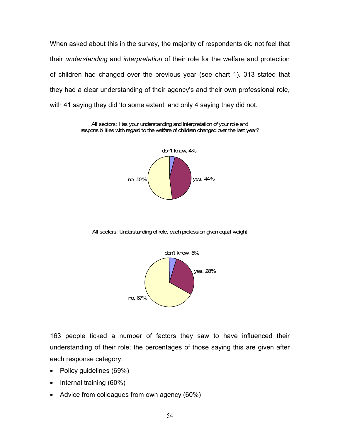When asked about this in the survey, the majority of respondents did not feel that their *understanding* and *interpretation* of their role for the welfare and protection of children had changed over the previous year (see chart 1). 313 stated that they had a clear understanding of their agency's and their own professional role, with 41 saying they did 'to some extent' and only 4 saying they did not.

> All sectors: Has your understanding and interpretation of your role and responsibilities with regard to the welfare of children changed over the last year?



All sectors: Understanding of role, each profession given equal weight



163 people ticked a number of factors they saw to have influenced their understanding of their role; the percentages of those saying this are given after each response category:

- Policy guidelines (69%)
- Internal training (60%)
- Advice from colleagues from own agency (60%)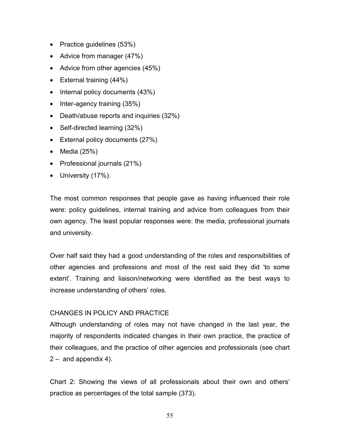- Practice guidelines (53%)
- Advice from manager (47%)
- Advice from other agencies (45%)
- External training (44%)
- Internal policy documents (43%)
- Inter-agency training (35%)
- Death/abuse reports and inquiries (32%)
- Self-directed learning (32%)
- External policy documents (27%)
- Media (25%)
- Professional journals (21%)
- University (17%).

The most common responses that people gave as having influenced their role were: policy guidelines, internal training and advice from colleagues from their own agency. The least popular responses were: the media, professional journals and university.

Over half said they had a good understanding of the roles and responsibilities of other agencies and professions and most of the rest said they did 'to some extent'. Training and liaison/networking were identified as the best ways to increase understanding of others' roles.

### CHANGES IN POLICY AND PRACTICE

Although understanding of roles may not have changed in the last year, the majority of respondents indicated changes in their own practice, the practice of their colleagues, and the practice of other agencies and professionals (see chart 2 – and appendix 4).

Chart 2: Showing the views of all professionals about their own and others' practice as percentages of the total sample (373).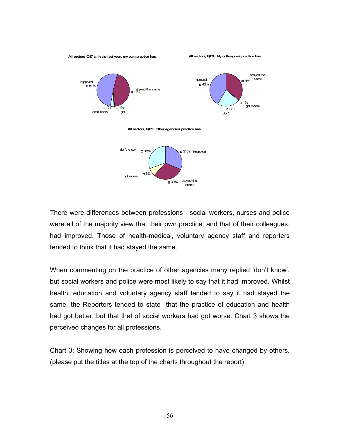

There were differences between professions - social workers, nurses and police were all of the majority view that their own practice, and that of their colleagues, had improved. Those of health-medical, voluntary agency staff and reporters tended to think that it had stayed the same.

When commenting on the practice of other agencies many replied 'don't know', but social workers and police were most likely to say that it had improved. Whilst health, education and voluntary agency staff tended to say it had stayed the same, the Reporters tended to state that the practice of education and health had got better, but that that of social workers had got worse. Chart 3 shows the perceived changes for all professions.

Chart 3: Showing how each profession is perceived to have changed by others. (please put the titles at the top of the charts throughout the report)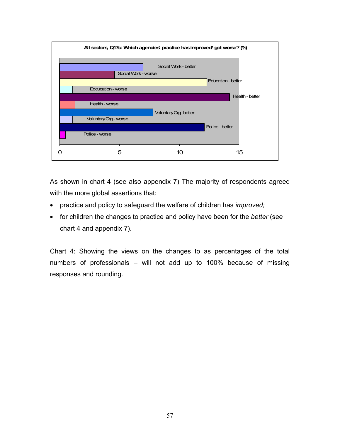

As shown in chart 4 (see also appendix 7) The majority of respondents agreed with the more global assertions that:

- practice and policy to safeguard the welfare of children has *improved;*
- for children the changes to practice and policy have been for the *better* (see chart 4 and appendix 7).

Chart 4: Showing the views on the changes to as percentages of the total numbers of professionals – will not add up to 100% because of missing responses and rounding.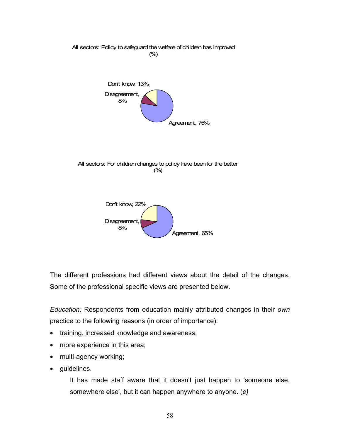

The different professions had different views about the detail of the changes. Some of the professional specific views are presented below.

*Education:* Respondents from education mainly attributed changes in their *own*  practice to the following reasons (in order of importance):

- training, increased knowledge and awareness;
- more experience in this area;
- multi-agency working;
- guidelines.

It has made staff aware that it doesn't just happen to 'someone else, somewhere else', but it can happen anywhere to anyone. (*e)*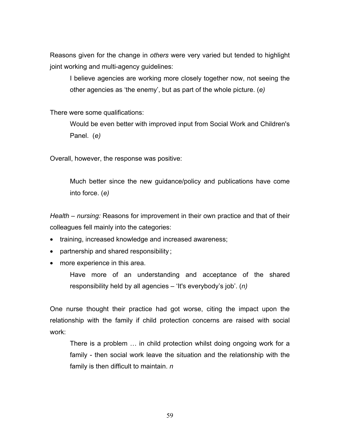Reasons given for the change in *others* were very varied but tended to highlight joint working and multi-agency guidelines:

I believe agencies are working more closely together now, not seeing the other agencies as 'the enemy', but as part of the whole picture. (*e)* 

There were some qualifications:

Would be even better with improved input from Social Work and Children's Panel. (*e)* 

Overall, however, the response was positive:

Much better since the new guidance/policy and publications have come into force. (*e)* 

*Health – nursing:* Reasons for improvement in their own practice and that of their colleagues fell mainly into the categories:

- training, increased knowledge and increased awareness;
- partnership and shared responsibility ;
- more experience in this area.

Have more of an understanding and acceptance of the shared responsibility held by all agencies – 'It's everybody's job'. (*n)* 

One nurse thought their practice had got worse, citing the impact upon the relationship with the family if child protection concerns are raised with social work:

There is a problem … in child protection whilst doing ongoing work for a family - then social work leave the situation and the relationship with the family is then difficult to maintain. *n*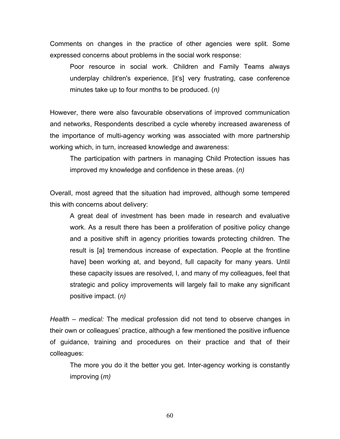Comments on changes in the practice of other agencies were split. Some expressed concerns about problems in the social work response:

Poor resource in social work. Children and Family Teams always underplay children's experience, [it's] very frustrating, case conference minutes take up to four months to be produced. (*n)* 

However, there were also favourable observations of improved communication and networks, Respondents described a cycle whereby increased awareness of the importance of multi-agency working was associated with more partnership working which, in turn, increased knowledge and awareness:

The participation with partners in managing Child Protection issues has improved my knowledge and confidence in these areas. (*n)* 

Overall, most agreed that the situation had improved, although some tempered this with concerns about delivery:

A great deal of investment has been made in research and evaluative work. As a result there has been a proliferation of positive policy change and a positive shift in agency priorities towards protecting children. The result is [a] tremendous increase of expectation. People at the frontline have] been working at, and beyond, full capacity for many years. Until these capacity issues are resolved, I, and many of my colleagues, feel that strategic and policy improvements will largely fail to make any significant positive impact. (*n)* 

*Health – medical:* The medical profession did not tend to observe changes in their own or colleagues' practice, although a few mentioned the positive influence of guidance, training and procedures on their practice and that of their colleagues:

The more you do it the better you get. Inter-agency working is constantly improving (*m)*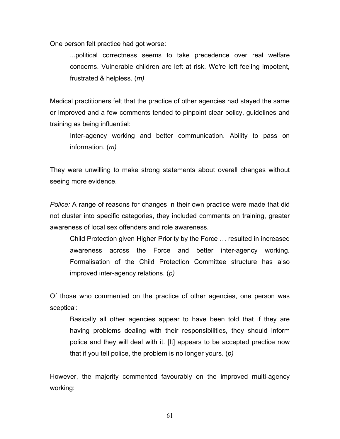One person felt practice had got worse:

...political correctness seems to take precedence over real welfare concerns. Vulnerable children are left at risk. We're left feeling impotent, frustrated & helpless. (*m)*

Medical practitioners felt that the practice of other agencies had stayed the same or improved and a few comments tended to pinpoint clear policy, guidelines and training as being influential:

Inter-agency working and better communication. Ability to pass on information. (*m)* 

They were unwilling to make strong statements about overall changes without seeing more evidence.

*Police:* A range of reasons for changes in their own practice were made that did not cluster into specific categories, they included comments on training, greater awareness of local sex offenders and role awareness.

Child Protection given Higher Priority by the Force … resulted in increased awareness across the Force and better inter-agency working. Formalisation of the Child Protection Committee structure has also improved inter-agency relations. (*p)* 

Of those who commented on the practice of other agencies, one person was sceptical:

Basically all other agencies appear to have been told that if they are having problems dealing with their responsibilities, they should inform police and they will deal with it. [It] appears to be accepted practice now that if you tell police, the problem is no longer yours. (*p)* 

However, the majority commented favourably on the improved multi-agency working: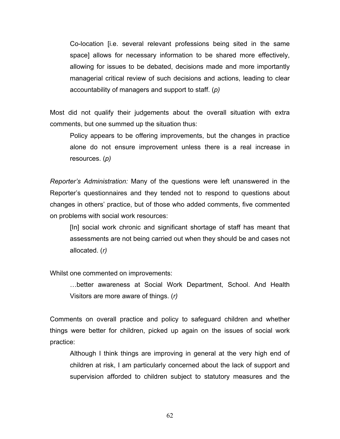Co-location [i.e. several relevant professions being sited in the same space] allows for necessary information to be shared more effectively, allowing for issues to be debated, decisions made and more importantly managerial critical review of such decisions and actions, leading to clear accountability of managers and support to staff. (*p)* 

Most did not qualify their judgements about the overall situation with extra comments, but one summed up the situation thus:

Policy appears to be offering improvements, but the changes in practice alone do not ensure improvement unless there is a real increase in resources. (*p)* 

*Reporter's Administration:* Many of the questions were left unanswered in the Reporter's questionnaires and they tended not to respond to questions about changes in others' practice, but of those who added comments, five commented on problems with social work resources:

[In] social work chronic and significant shortage of staff has meant that assessments are not being carried out when they should be and cases not allocated. (*r)*

Whilst one commented on improvements:

…better awareness at Social Work Department, School. And Health Visitors are more aware of things. (*r)* 

Comments on overall practice and policy to safeguard children and whether things were better for children, picked up again on the issues of social work practice:

Although I think things are improving in general at the very high end of children at risk, I am particularly concerned about the lack of support and supervision afforded to children subject to statutory measures and the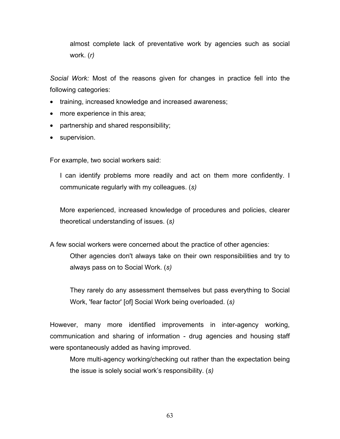almost complete lack of preventative work by agencies such as social work. (*r)* 

*Social Work:* Most of the reasons given for changes in practice fell into the following categories:

- training, increased knowledge and increased awareness;
- more experience in this area;
- partnership and shared responsibility;
- supervision.

For example, two social workers said:

I can identify problems more readily and act on them more confidently. I communicate regularly with my colleagues. (*s)* 

More experienced, increased knowledge of procedures and policies, clearer theoretical understanding of issues. (*s)* 

A few social workers were concerned about the practice of other agencies: Other agencies don't always take on their own responsibilities and try to always pass on to Social Work. (*s)* 

They rarely do any assessment themselves but pass everything to Social Work, 'fear factor' [of] Social Work being overloaded. (*s)*

However, many more identified improvements in inter-agency working, communication and sharing of information - drug agencies and housing staff were spontaneously added as having improved.

More multi-agency working/checking out rather than the expectation being the issue is solely social work's responsibility. (*s)*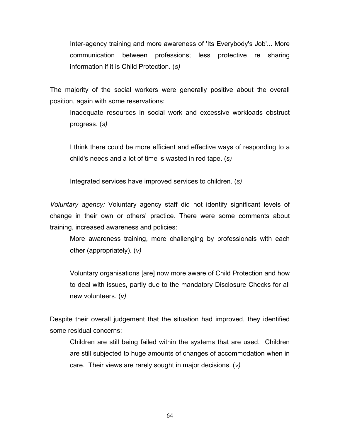Inter-agency training and more awareness of 'Its Everybody's Job'... More communication between professions; less protective re sharing information if it is Child Protection. (*s)* 

The majority of the social workers were generally positive about the overall position, again with some reservations:

Inadequate resources in social work and excessive workloads obstruct progress. (*s)* 

I think there could be more efficient and effective ways of responding to a child's needs and a lot of time is wasted in red tape. (*s)* 

Integrated services have improved services to children. (*s)* 

*Voluntary agency:* Voluntary agency staff did not identify significant levels of change in their own or others' practice. There were some comments about training, increased awareness and policies:

More awareness training, more challenging by professionals with each other (appropriately). (*v)* 

Voluntary organisations [are] now more aware of Child Protection and how to deal with issues, partly due to the mandatory Disclosure Checks for all new volunteers. (*v)* 

Despite their overall judgement that the situation had improved, they identified some residual concerns:

Children are still being failed within the systems that are used. Children are still subjected to huge amounts of changes of accommodation when in care. Their views are rarely sought in major decisions. (*v)*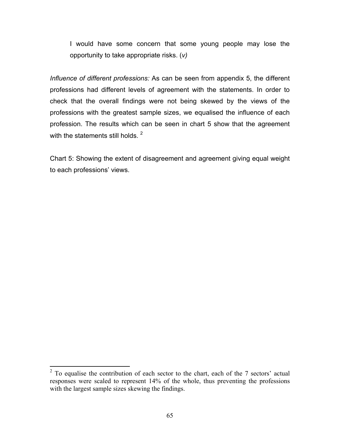I would have some concern that some young people may lose the opportunity to take appropriate risks. (*v)* 

*Influence of different professions:* As can be seen from appendix 5, the different professions had different levels of agreement with the statements. In order to check that the overall findings were not being skewed by the views of the professions with the greatest sample sizes, we equalised the influence of each profession. The results which can be seen in chart 5 show that the agreement with the statements still holds.  $2$ 

Chart 5: Showing the extent of disagreement and agreement giving equal weight to each professions' views.

<sup>&</sup>lt;sup>2</sup> To equalise the contribution of each sector to the chart, each of the 7 sectors' actual responses were scaled to represent 14% of the whole, thus preventing the professions with the largest sample sizes skewing the findings.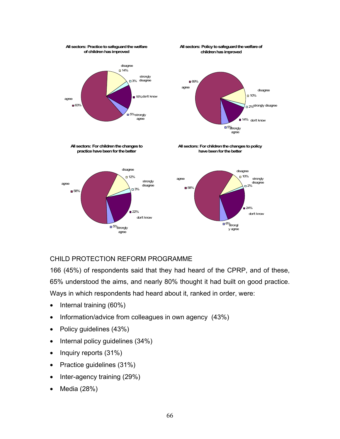

## CHILD PROTECTION REFORM PROGRAMME

166 (45%) of respondents said that they had heard of the CPRP, and of these, 65% understood the aims, and nearly 80% thought it had built on good practice. Ways in which respondents had heard about it, ranked in order, were:

- Internal training (60%)
- Information/advice from colleagues in own agency (43%)
- Policy guidelines (43%)
- Internal policy guidelines (34%)
- Inquiry reports (31%)
- Practice guidelines (31%)
- Inter-agency training (29%)
- Media (28%)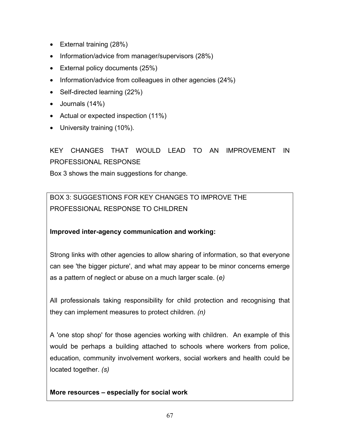- External training (28%)
- Information/advice from manager/supervisors (28%)
- External policy documents (25%)
- Information/advice from colleagues in other agencies (24%)
- Self-directed learning (22%)
- Journals (14%)
- Actual or expected inspection (11%)
- University training (10%).

# KEY CHANGES THAT WOULD LEAD TO AN IMPROVEMENT IN PROFESSIONAL RESPONSE

Box 3 shows the main suggestions for change.

BOX 3: SUGGESTIONS FOR KEY CHANGES TO IMPROVE THE PROFESSIONAL RESPONSE TO CHILDREN

## **Improved inter-agency communication and working:**

Strong links with other agencies to allow sharing of information, so that everyone can see 'the bigger picture', and what may appear to be minor concerns emerge as a pattern of neglect or abuse on a much larger scale. (*e)* 

All professionals taking responsibility for child protection and recognising that they can implement measures to protect children. *(n)* 

A 'one stop shop' for those agencies working with children. An example of this would be perhaps a building attached to schools where workers from police, education, community involvement workers, social workers and health could be located together. *(s)* 

## **More resources – especially for social work**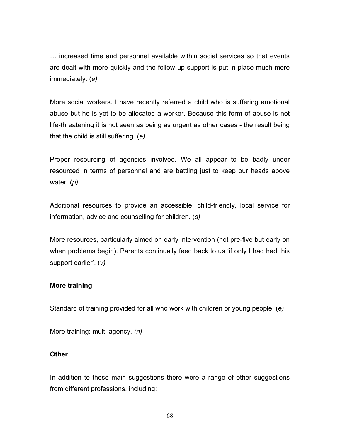… increased time and personnel available within social services so that events are dealt with more quickly and the follow up support is put in place much more immediately. (*e)* 

More social workers. I have recently referred a child who is suffering emotional abuse but he is yet to be allocated a worker. Because this form of abuse is not life-threatening it is not seen as being as urgent as other cases - the result being that the child is still suffering. (*e)* 

Proper resourcing of agencies involved. We all appear to be badly under resourced in terms of personnel and are battling just to keep our heads above water. (*p)* 

Additional resources to provide an accessible, child-friendly, local service for information, advice and counselling for children. (*s)* 

More resources, particularly aimed on early intervention (not pre-five but early on when problems begin). Parents continually feed back to us 'if only I had had this support earlier'. (*v)* 

## **More training**

Standard of training provided for all who work with children or young people. (*e)* 

More training: multi-agency. *(n)* 

## **Other**

In addition to these main suggestions there were a range of other suggestions from different professions, including: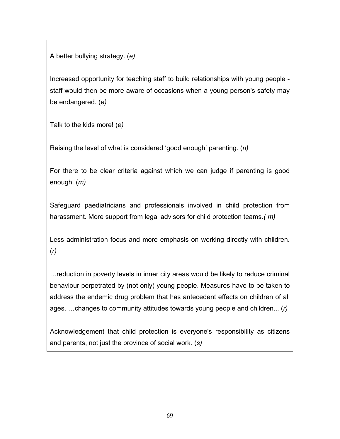A better bullying strategy. (*e)*

Increased opportunity for teaching staff to build relationships with young people staff would then be more aware of occasions when a young person's safety may be endangered. (*e)* 

Talk to the kids more! (*e)* 

Raising the level of what is considered 'good enough' parenting. (*n)* 

For there to be clear criteria against which we can judge if parenting is good enough. (*m)* 

Safeguard paediatricians and professionals involved in child protection from harassment. More support from legal advisors for child protection teams*.( m)* 

Less administration focus and more emphasis on working directly with children. (*r)* 

…reduction in poverty levels in inner city areas would be likely to reduce criminal behaviour perpetrated by (not only) young people. Measures have to be taken to address the endemic drug problem that has antecedent effects on children of all ages. …changes to community attitudes towards young people and children... (*r)* 

Acknowledgement that child protection is everyone's responsibility as citizens and parents, not just the province of social work. (*s)*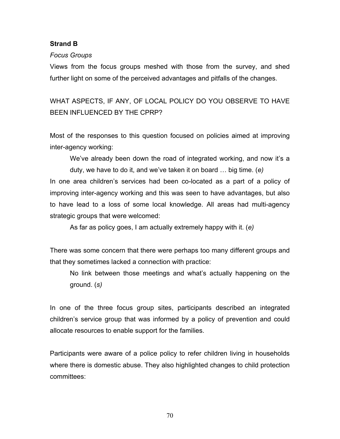#### **Strand B**

#### *Focus Groups*

Views from the focus groups meshed with those from the survey, and shed further light on some of the perceived advantages and pitfalls of the changes.

WHAT ASPECTS, IF ANY, OF LOCAL POLICY DO YOU OBSERVE TO HAVE BEEN INFLUENCED BY THE CPRP?

Most of the responses to this question focused on policies aimed at improving inter-agency working:

We've already been down the road of integrated working, and now it's a duty, we have to do it, and we've taken it on board … big time. (*e)* 

In one area children's services had been co-located as a part of a policy of improving inter-agency working and this was seen to have advantages, but also to have lead to a loss of some local knowledge. All areas had multi-agency strategic groups that were welcomed:

As far as policy goes, I am actually extremely happy with it. (*e)*

There was some concern that there were perhaps too many different groups and that they sometimes lacked a connection with practice:

No link between those meetings and what's actually happening on the ground. (*s)* 

In one of the three focus group sites, participants described an integrated children's service group that was informed by a policy of prevention and could allocate resources to enable support for the families.

Participants were aware of a police policy to refer children living in households where there is domestic abuse. They also highlighted changes to child protection committees: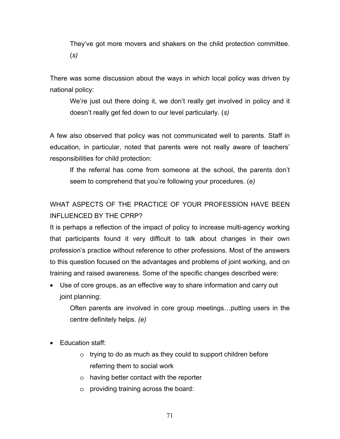They've got more movers and shakers on the child protection committee. (*s)* 

There was some discussion about the ways in which local policy was driven by national policy:

We're just out there doing it, we don't really get involved in policy and it doesn't really get fed down to our level particularly. (*s)* 

A few also observed that policy was not communicated well to parents. Staff in education, in particular, noted that parents were not really aware of teachers' responsibilities for child protection:

If the referral has come from someone at the school, the parents don't seem to comprehend that you're following your procedures. (*e)* 

# WHAT ASPECTS OF THE PRACTICE OF YOUR PROFESSION HAVE BEEN INFLUENCED BY THE CPRP?

It is perhaps a reflection of the impact of policy to increase multi-agency working that participants found it very difficult to talk about changes in their own profession's practice without reference to other professions. Most of the answers to this question focused on the advantages and problems of joint working, and on training and raised awareness. Some of the specific changes described were:

• Use of core groups, as an effective way to share information and carry out joint planning:

Often parents are involved in core group meetings…putting users in the centre definitely helps. *(e)* 

- Education staff:
	- o trying to do as much as they could to support children before referring them to social work
	- o having better contact with the reporter
	- o providing training across the board: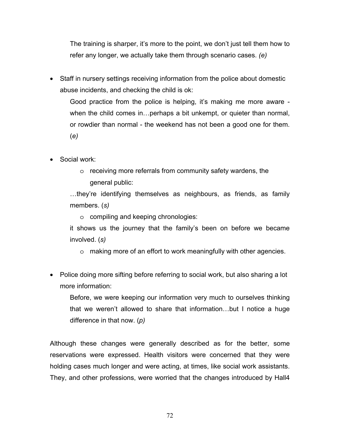The training is sharper, it's more to the point, we don't just tell them how to refer any longer, we actually take them through scenario cases. *(e)* 

• Staff in nursery settings receiving information from the police about domestic abuse incidents, and checking the child is ok:

Good practice from the police is helping, it's making me more aware when the child comes in…perhaps a bit unkempt, or quieter than normal, or rowdier than normal - the weekend has not been a good one for them. (*e)* 

- Social work:
	- o receiving more referrals from community safety wardens, the general public:

…they're identifying themselves as neighbours, as friends, as family members. (*s)* 

o compiling and keeping chronologies:

it shows us the journey that the family's been on before we became involved. (*s)* 

- o making more of an effort to work meaningfully with other agencies.
- Police doing more sifting before referring to social work, but also sharing a lot more information:

Before, we were keeping our information very much to ourselves thinking that we weren't allowed to share that information…but I notice a huge difference in that now. (*p)* 

Although these changes were generally described as for the better, some reservations were expressed. Health visitors were concerned that they were holding cases much longer and were acting, at times, like social work assistants. They, and other professions, were worried that the changes introduced by Hall4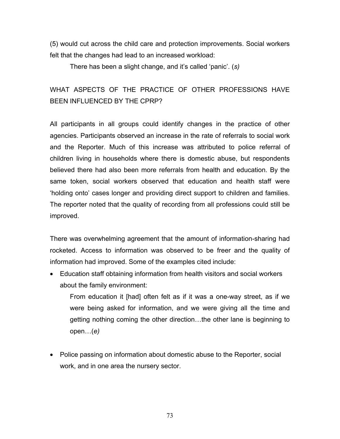(5) would cut across the child care and protection improvements. Social workers felt that the changes had lead to an increased workload:

There has been a slight change, and it's called 'panic'. (*s)* 

# WHAT ASPECTS OF THE PRACTICE OF OTHER PROFESSIONS HAVE BEEN INFLUENCED BY THE CPRP?

All participants in all groups could identify changes in the practice of other agencies. Participants observed an increase in the rate of referrals to social work and the Reporter. Much of this increase was attributed to police referral of children living in households where there is domestic abuse, but respondents believed there had also been more referrals from health and education. By the same token, social workers observed that education and health staff were 'holding onto' cases longer and providing direct support to children and families. The reporter noted that the quality of recording from all professions could still be improved.

There was overwhelming agreement that the amount of information-sharing had rocketed. Access to information was observed to be freer and the quality of information had improved. Some of the examples cited include:

• Education staff obtaining information from health visitors and social workers about the family environment:

From education it [had] often felt as if it was a one-way street, as if we were being asked for information, and we were giving all the time and getting nothing coming the other direction…the other lane is beginning to open…(*e)* 

• Police passing on information about domestic abuse to the Reporter, social work, and in one area the nursery sector.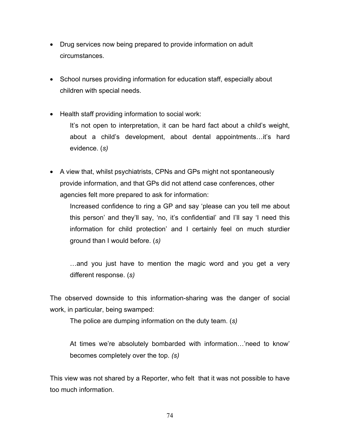- Drug services now being prepared to provide information on adult circumstances.
- School nurses providing information for education staff, especially about children with special needs.
- Health staff providing information to social work:

It's not open to interpretation, it can be hard fact about a child's weight, about a child's development, about dental appointments…it's hard evidence. (*s)* 

• A view that, whilst psychiatrists, CPNs and GPs might not spontaneously provide information, and that GPs did not attend case conferences, other agencies felt more prepared to ask for information:

Increased confidence to ring a GP and say 'please can you tell me about this person' and they'll say, 'no, it's confidential' and I'll say 'I need this information for child protection' and I certainly feel on much sturdier ground than I would before. (*s)* 

…and you just have to mention the magic word and you get a very different response. (*s)* 

The observed downside to this information-sharing was the danger of social work, in particular, being swamped:

The police are dumping information on the duty team. (*s)* 

At times we're absolutely bombarded with information…'need to know' becomes completely over the top. *(s)* 

This view was not shared by a Reporter, who felt that it was not possible to have too much information.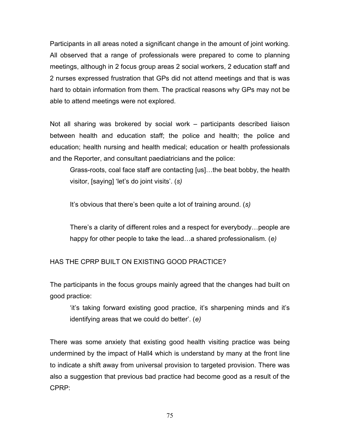Participants in all areas noted a significant change in the amount of joint working. All observed that a range of professionals were prepared to come to planning meetings, although in 2 focus group areas 2 social workers, 2 education staff and 2 nurses expressed frustration that GPs did not attend meetings and that is was hard to obtain information from them. The practical reasons why GPs may not be able to attend meetings were not explored.

Not all sharing was brokered by social work – participants described liaison between health and education staff; the police and health; the police and education; health nursing and health medical; education or health professionals and the Reporter, and consultant paediatricians and the police:

Grass-roots, coal face staff are contacting [us]…the beat bobby, the health visitor, [saying] 'let's do joint visits'. (*s)* 

It's obvious that there's been quite a lot of training around. (*s)* 

There's a clarity of different roles and a respect for everybody…people are happy for other people to take the lead…a shared professionalism. (*e)* 

HAS THE CPRP BUILT ON EXISTING GOOD PRACTICE?

The participants in the focus groups mainly agreed that the changes had built on good practice:

'it's taking forward existing good practice, it's sharpening minds and it's identifying areas that we could do better'. (*e)* 

There was some anxiety that existing good health visiting practice was being undermined by the impact of Hall4 which is understand by many at the front line to indicate a shift away from universal provision to targeted provision. There was also a suggestion that previous bad practice had become good as a result of the CPRP: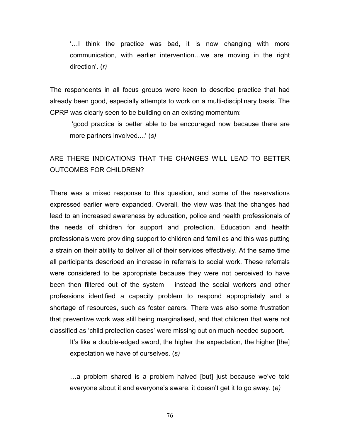'…I think the practice was bad, it is now changing with more communication, with earlier intervention…we are moving in the right direction'. (*r)* 

The respondents in all focus groups were keen to describe practice that had already been good, especially attempts to work on a multi-disciplinary basis. The CPRP was clearly seen to be building on an existing momentum:

 'good practice is better able to be encouraged now because there are more partners involved....' (*s)*

## ARE THERE INDICATIONS THAT THE CHANGES WILL LEAD TO BETTER OUTCOMES FOR CHILDREN?

There was a mixed response to this question, and some of the reservations expressed earlier were expanded. Overall, the view was that the changes had lead to an increased awareness by education, police and health professionals of the needs of children for support and protection. Education and health professionals were providing support to children and families and this was putting a strain on their ability to deliver all of their services effectively. At the same time all participants described an increase in referrals to social work. These referrals were considered to be appropriate because they were not perceived to have been then filtered out of the system – instead the social workers and other professions identified a capacity problem to respond appropriately and a shortage of resources, such as foster carers. There was also some frustration that preventive work was still being marginalised, and that children that were not classified as 'child protection cases' were missing out on much-needed support.

It's like a double-edged sword, the higher the expectation, the higher [the] expectation we have of ourselves. (*s)* 

…a problem shared is a problem halved [but] just because we've told everyone about it and everyone's aware, it doesn't get it to go away. (*e)*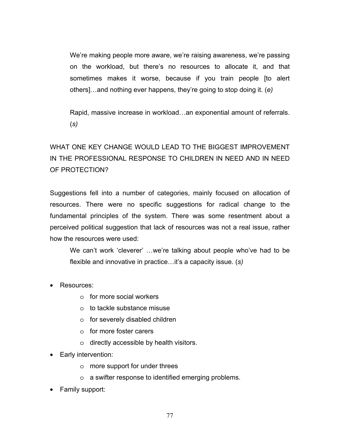We're making people more aware, we're raising awareness, we're passing on the workload, but there's no resources to allocate it, and that sometimes makes it worse, because if you train people [to alert others]…and nothing ever happens, they're going to stop doing it. (*e)* 

Rapid, massive increase in workload…an exponential amount of referrals. (*s)* 

# WHAT ONE KEY CHANGE WOULD LEAD TO THE BIGGEST IMPROVEMENT IN THE PROFESSIONAL RESPONSE TO CHILDREN IN NEED AND IN NEED OF PROTECTION?

Suggestions fell into a number of categories, mainly focused on allocation of resources. There were no specific suggestions for radical change to the fundamental principles of the system. There was some resentment about a perceived political suggestion that lack of resources was not a real issue, rather how the resources were used:

We can't work 'cleverer' …we're talking about people who've had to be flexible and innovative in practice…it's a capacity issue. (*s)* 

- Resources:
	- o for more social workers
	- o to tackle substance misuse
	- o for severely disabled children
	- o for more foster carers
	- o directly accessible by health visitors.
- Early intervention:
	- o more support for under threes
	- o a swifter response to identified emerging problems.
- Family support: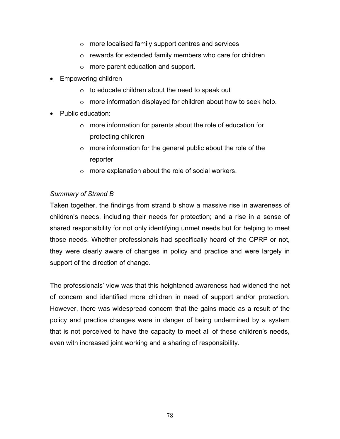- o more localised family support centres and services
- o rewards for extended family members who care for children
- o more parent education and support.
- Empowering children
	- o to educate children about the need to speak out
	- o more information displayed for children about how to seek help.
- Public education:
	- o more information for parents about the role of education for protecting children
	- o more information for the general public about the role of the reporter
	- o more explanation about the role of social workers.

### *Summary of Strand B*

Taken together, the findings from strand b show a massive rise in awareness of children's needs, including their needs for protection; and a rise in a sense of shared responsibility for not only identifying unmet needs but for helping to meet those needs. Whether professionals had specifically heard of the CPRP or not, they were clearly aware of changes in policy and practice and were largely in support of the direction of change.

The professionals' view was that this heightened awareness had widened the net of concern and identified more children in need of support and/or protection. However, there was widespread concern that the gains made as a result of the policy and practice changes were in danger of being undermined by a system that is not perceived to have the capacity to meet all of these children's needs, even with increased joint working and a sharing of responsibility.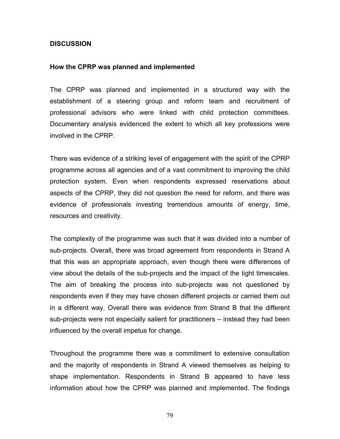### **DISCUSSION**

#### **How the CPRP was planned and implemented**

The CPRP was planned and implemented in a structured way with the establishment of a steering group and reform team and recruitment of professional advisors who were linked with child protection committees. Documentary analysis evidenced the extent to which all key professions were involved in the CPRP.

There was evidence of a striking level of engagement with the spirit of the CPRP programme across all agencies and of a vast commitment to improving the child protection system. Even when respondents expressed reservations about aspects of the CPRP, they did not question the need for reform, and there was evidence of professionals investing tremendous amounts of energy, time, resources and creativity.

The complexity of the programme was such that it was divided into a number of sub-projects. Overall, there was broad agreement from respondents in Strand A that this was an appropriate approach, even though there were differences of view about the details of the sub-projects and the impact of the tight timescales. The aim of breaking the process into sub-projects was not questioned by respondents even if they may have chosen different projects or carried them out in a different way. Overall there was evidence from Strand B that the different sub-projects were not especially salient for practitioners – instead they had been influenced by the overall impetus for change.

Throughout the programme there was a commitment to extensive consultation and the majority of respondents in Strand A viewed themselves as helping to shape implementation. Respondents in Strand B appeared to have less information about how the CPRP was planned and implemented. The findings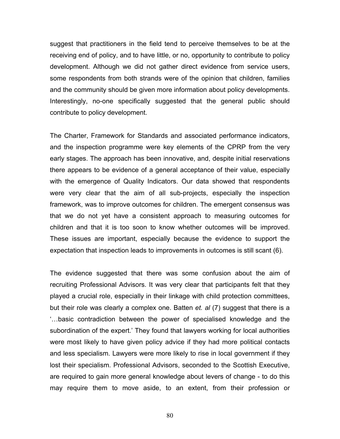suggest that practitioners in the field tend to perceive themselves to be at the receiving end of policy, and to have little, or no, opportunity to contribute to policy development. Although we did not gather direct evidence from service users, some respondents from both strands were of the opinion that children, families and the community should be given more information about policy developments. Interestingly, no-one specifically suggested that the general public should contribute to policy development.

The Charter, Framework for Standards and associated performance indicators, and the inspection programme were key elements of the CPRP from the very early stages. The approach has been innovative, and, despite initial reservations there appears to be evidence of a general acceptance of their value, especially with the emergence of Quality Indicators. Our data showed that respondents were very clear that the aim of all sub-projects, especially the inspection framework, was to improve outcomes for children. The emergent consensus was that we do not yet have a consistent approach to measuring outcomes for children and that it is too soon to know whether outcomes will be improved. These issues are important, especially because the evidence to support the expectation that inspection leads to improvements in outcomes is still scant (6).

The evidence suggested that there was some confusion about the aim of recruiting Professional Advisors. It was very clear that participants felt that they played a crucial role, especially in their linkage with child protection committees, but their role was clearly a complex one. Batten *et. al* (7) suggest that there is a '…basic contradiction between the power of specialised knowledge and the subordination of the expert.' They found that lawyers working for local authorities were most likely to have given policy advice if they had more political contacts and less specialism. Lawyers were more likely to rise in local government if they lost their specialism. Professional Advisors, seconded to the Scottish Executive, are required to gain more general knowledge about levers of change - to do this may require them to move aside, to an extent, from their profession or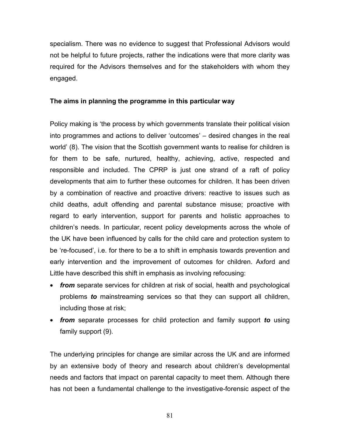specialism. There was no evidence to suggest that Professional Advisors would not be helpful to future projects, rather the indications were that more clarity was required for the Advisors themselves and for the stakeholders with whom they engaged.

### **The aims in planning the programme in this particular way**

Policy making is 'the process by which governments translate their political vision into programmes and actions to deliver 'outcomes' – desired changes in the real world' (8). The vision that the Scottish government wants to realise for children is for them to be safe, nurtured, healthy, achieving, active, respected and responsible and included. The CPRP is just one strand of a raft of policy developments that aim to further these outcomes for children. It has been driven by a combination of reactive and proactive drivers: reactive to issues such as child deaths, adult offending and parental substance misuse; proactive with regard to early intervention, support for parents and holistic approaches to children's needs. In particular, recent policy developments across the whole of the UK have been influenced by calls for the child care and protection system to be 're-focused', i.e. for there to be a to shift in emphasis towards prevention and early intervention and the improvement of outcomes for children. Axford and Little have described this shift in emphasis as involving refocusing:

- *from* separate services for children at risk of social, health and psychological problems *to* mainstreaming services so that they can support all children, including those at risk;
- *from* separate processes for child protection and family support *to* using family support (9).

The underlying principles for change are similar across the UK and are informed by an extensive body of theory and research about children's developmental needs and factors that impact on parental capacity to meet them. Although there has not been a fundamental challenge to the investigative-forensic aspect of the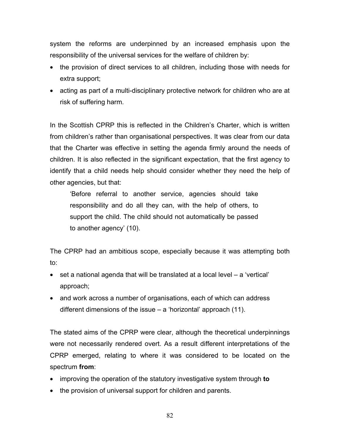system the reforms are underpinned by an increased emphasis upon the responsibility of the universal services for the welfare of children by:

- the provision of direct services to all children, including those with needs for extra support;
- acting as part of a multi-disciplinary protective network for children who are at risk of suffering harm.

In the Scottish CPRP this is reflected in the Children's Charter, which is written from children's rather than organisational perspectives. It was clear from our data that the Charter was effective in setting the agenda firmly around the needs of children. It is also reflected in the significant expectation, that the first agency to identify that a child needs help should consider whether they need the help of other agencies, but that:

'Before referral to another service, agencies should take responsibility and do all they can, with the help of others, to support the child. The child should not automatically be passed to another agency' (10).

The CPRP had an ambitious scope, especially because it was attempting both to:

- set a national agenda that will be translated at a local level a 'vertical' approach;
- and work across a number of organisations, each of which can address different dimensions of the issue – a 'horizontal' approach (11).

The stated aims of the CPRP were clear, although the theoretical underpinnings were not necessarily rendered overt. As a result different interpretations of the CPRP emerged, relating to where it was considered to be located on the spectrum **from**:

- improving the operation of the statutory investigative system through **to**
- the provision of universal support for children and parents.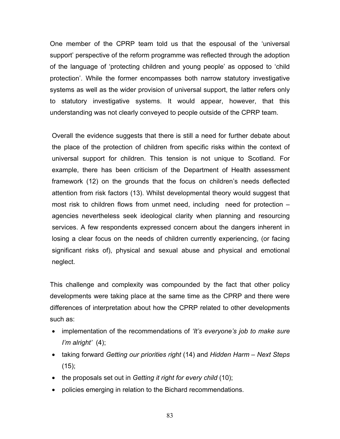One member of the CPRP team told us that the espousal of the 'universal support' perspective of the reform programme was reflected through the adoption of the language of 'protecting children and young people' as opposed to 'child protection'. While the former encompasses both narrow statutory investigative systems as well as the wider provision of universal support, the latter refers only to statutory investigative systems. It would appear, however, that this understanding was not clearly conveyed to people outside of the CPRP team.

Overall the evidence suggests that there is still a need for further debate about the place of the protection of children from specific risks within the context of universal support for children. This tension is not unique to Scotland. For example, there has been criticism of the Department of Health assessment framework (12) on the grounds that the focus on children's needs deflected attention from risk factors (13). Whilst developmental theory would suggest that most risk to children flows from unmet need, including need for protection – agencies nevertheless seek ideological clarity when planning and resourcing services. A few respondents expressed concern about the dangers inherent in losing a clear focus on the needs of children currently experiencing, (or facing significant risks of), physical and sexual abuse and physical and emotional neglect.

This challenge and complexity was compounded by the fact that other policy developments were taking place at the same time as the CPRP and there were differences of interpretation about how the CPRP related to other developments such as:

- implementation of the recommendations of *'It's everyone's job to make sure I'm alright'* (4);
- taking forward *Getting our priorities right* (14) and *Hidden Harm Next Steps*   $(15)$ ;
- the proposals set out in *Getting it right for every child* (10);
- policies emerging in relation to the Bichard recommendations.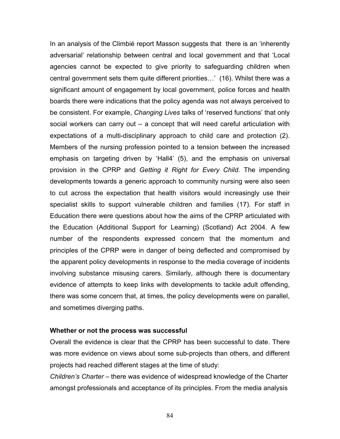In an analysis of the Climbié report Masson suggests that there is an 'inherently adversarial' relationship between central and local government and that 'Local agencies cannot be expected to give priority to safeguarding children when central government sets them quite different priorities…' (16). Whilst there was a significant amount of engagement by local government, police forces and health boards there were indications that the policy agenda was not always perceived to be consistent. For example, *Changing Lives* talks of 'reserved functions' that only social workers can carry out – a concept that will need careful articulation with expectations of a multi-disciplinary approach to child care and protection (2). Members of the nursing profession pointed to a tension between the increased emphasis on targeting driven by 'Hall4' (5), and the emphasis on universal provision in the CPRP and *Getting it Right for Every Child*. The impending developments towards a generic approach to community nursing were also seen to cut across the expectation that health visitors would increasingly use their specialist skills to support vulnerable children and families (17). For staff in Education there were questions about how the aims of the CPRP articulated with the Education (Additional Support for Learning) (Scotland) Act 2004. A few number of the respondents expressed concern that the momentum and principles of the CPRP were in danger of being deflected and compromised by the apparent policy developments in response to the media coverage of incidents involving substance misusing carers. Similarly, although there is documentary evidence of attempts to keep links with developments to tackle adult offending, there was some concern that, at times, the policy developments were on parallel, and sometimes diverging paths.

#### **Whether or not the process was successful**

Overall the evidence is clear that the CPRP has been successful to date. There was more evidence on views about some sub-projects than others, and different projects had reached different stages at the time of study:

*Children's Charter* – there was evidence of widespread knowledge of the Charter amongst professionals and acceptance of its principles. From the media analysis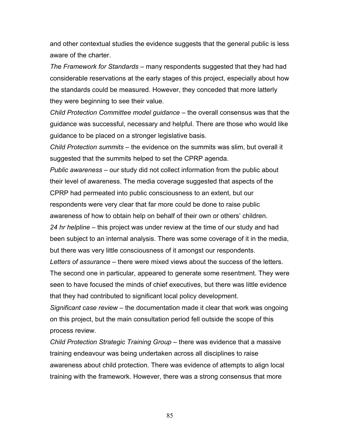and other contextual studies the evidence suggests that the general public is less aware of the charter.

*The Framework for Standards –* many respondents suggested that they had had considerable reservations at the early stages of this project, especially about how the standards could be measured. However, they conceded that more latterly they were beginning to see their value.

*Child Protection Committee model guidance –* the overall consensus was that the guidance was successful, necessary and helpful. There are those who would like guidance to be placed on a stronger legislative basis.

*Child Protection summits –* the evidence on the summits was slim, but overall it suggested that the summits helped to set the CPRP agenda.

*Public awareness –* our study did not collect information from the public about their level of awareness. The media coverage suggested that aspects of the CPRP had permeated into public consciousness to an extent, but our respondents were very clear that far more could be done to raise public

awareness of how to obtain help on behalf of their own or others' children.

*24 hr helpline –* this project was under review at the time of our study and had been subject to an internal analysis. There was some coverage of it in the media, but there was very little consciousness of it amongst our respondents.

*Letters of assurance –* there were mixed views about the success of the letters. The second one in particular, appeared to generate some resentment. They were seen to have focused the minds of chief executives, but there was little evidence that they had contributed to significant local policy development.

*Significant case review –* the documentation made it clear that work was ongoing on this project, but the main consultation period fell outside the scope of this process review.

*Child Protection Strategic Training Group –* there was evidence that a massive training endeavour was being undertaken across all disciplines to raise awareness about child protection. There was evidence of attempts to align local training with the framework. However, there was a strong consensus that more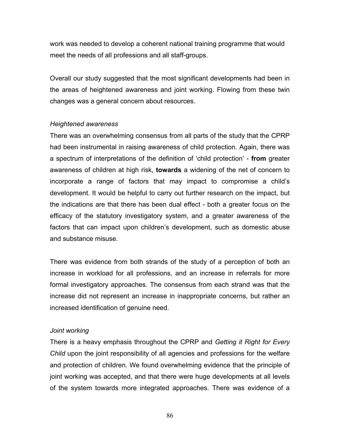work was needed to develop a coherent national training programme that would meet the needs of all professions and all staff-groups.

Overall our study suggested that the most significant developments had been in the areas of heightened awareness and joint working. Flowing from these twin changes was a general concern about resources.

### *Heightened awareness*

There was an overwhelming consensus from all parts of the study that the CPRP had been instrumental in raising awareness of child protection. Again, there was a spectrum of interpretations of the definition of 'child protection' - **from** greater awareness of children at high risk, **towards** a widening of the net of concern to incorporate a range of factors that may impact to compromise a child's development. It would be helpful to carry out further research on the impact, but the indications are that there has been dual effect - both a greater focus on the efficacy of the statutory investigatory system, and a greater awareness of the factors that can impact upon children's development, such as domestic abuse and substance misuse.

There was evidence from both strands of the study of a perception of both an increase in workload for all professions, and an increase in referrals for more formal investigatory approaches. The consensus from each strand was that the increase did not represent an increase in inappropriate concerns, but rather an increased identification of genuine need.

### *Joint working*

There is a heavy emphasis throughout the CPRP and *Getting it Right for Every Child* upon the joint responsibility of all agencies and professions for the welfare and protection of children. We found overwhelming evidence that the principle of joint working was accepted, and that there were huge developments at all levels of the system towards more integrated approaches. There was evidence of a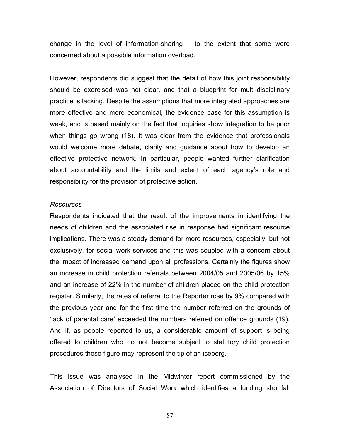change in the level of information-sharing – to the extent that some were concerned about a possible information overload.

However, respondents did suggest that the detail of how this joint responsibility should be exercised was not clear, and that a blueprint for multi-disciplinary practice is lacking. Despite the assumptions that more integrated approaches are more effective and more economical, the evidence base for this assumption is weak, and is based mainly on the fact that inquiries show integration to be poor when things go wrong (18). It was clear from the evidence that professionals would welcome more debate, clarity and guidance about how to develop an effective protective network. In particular, people wanted further clarification about accountability and the limits and extent of each agency's role and responsibility for the provision of protective action.

#### *Resources*

Respondents indicated that the result of the improvements in identifying the needs of children and the associated rise in response had significant resource implications. There was a steady demand for more resources, especially, but not exclusively, for social work services and this was coupled with a concern about the impact of increased demand upon all professions. Certainly the figures show an increase in child protection referrals between 2004/05 and 2005/06 by 15% and an increase of 22% in the number of children placed on the child protection register. Similarly, the rates of referral to the Reporter rose by 9% compared with the previous year and for the first time the number referred on the grounds of 'lack of parental care' exceeded the numbers referred on offence grounds (19). And if, as people reported to us, a considerable amount of support is being offered to children who do not become subject to statutory child protection procedures these figure may represent the tip of an iceberg.

This issue was analysed in the Midwinter report commissioned by the Association of Directors of Social Work which identifies a funding shortfall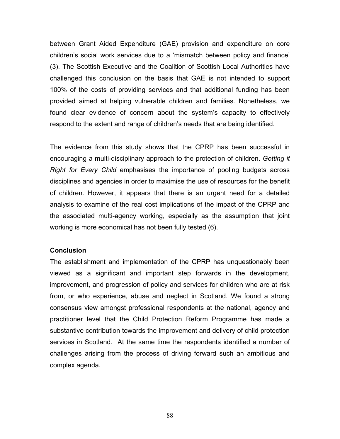between Grant Aided Expenditure (GAE) provision and expenditure on core children's social work services due to a 'mismatch between policy and finance' (3). The Scottish Executive and the Coalition of Scottish Local Authorities have challenged this conclusion on the basis that GAE is not intended to support 100% of the costs of providing services and that additional funding has been provided aimed at helping vulnerable children and families. Nonetheless, we found clear evidence of concern about the system's capacity to effectively respond to the extent and range of children's needs that are being identified.

The evidence from this study shows that the CPRP has been successful in encouraging a multi-disciplinary approach to the protection of children. *Getting it Right for Every Child* emphasises the importance of pooling budgets across disciplines and agencies in order to maximise the use of resources for the benefit of children. However, it appears that there is an urgent need for a detailed analysis to examine of the real cost implications of the impact of the CPRP and the associated multi-agency working, especially as the assumption that joint working is more economical has not been fully tested (6).

#### **Conclusion**

The establishment and implementation of the CPRP has unquestionably been viewed as a significant and important step forwards in the development, improvement, and progression of policy and services for children who are at risk from, or who experience, abuse and neglect in Scotland. We found a strong consensus view amongst professional respondents at the national, agency and practitioner level that the Child Protection Reform Programme has made a substantive contribution towards the improvement and delivery of child protection services in Scotland. At the same time the respondents identified a number of challenges arising from the process of driving forward such an ambitious and complex agenda.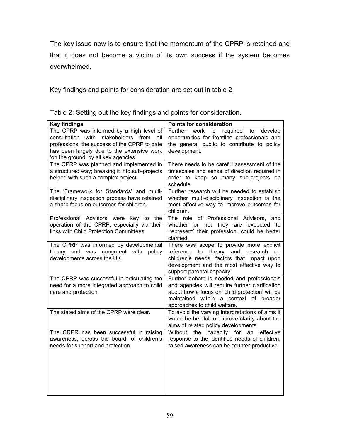The key issue now is to ensure that the momentum of the CPRP is retained and that it does not become a victim of its own success if the system becomes overwhelmed.

Key findings and points for consideration are set out in table 2.

| <b>Key findings</b>                                                                                                                                                                                                          | Points for consideration                                                                                                                                                                                                   |
|------------------------------------------------------------------------------------------------------------------------------------------------------------------------------------------------------------------------------|----------------------------------------------------------------------------------------------------------------------------------------------------------------------------------------------------------------------------|
| The CPRP was informed by a high level of<br>consultation with stakeholders from<br>all<br>professions; the success of the CPRP to date<br>has been largely due to the extensive work<br>'on the ground' by all key agencies. | Further work is<br>required to<br>develop<br>opportunities for frontline professionals and<br>the general public to contribute to policy<br>development.                                                                   |
| The CPRP was planned and implemented in<br>a structured way; breaking it into sub-projects<br>helped with such a complex project.                                                                                            | There needs to be careful assessment of the<br>timescales and sense of direction required in<br>order to keep so many sub-projects on<br>schedule.                                                                         |
| The 'Framework for Standards' and multi-<br>disciplinary inspection process have retained<br>a sharp focus on outcomes for children.                                                                                         | Further research will be needed to establish<br>whether multi-disciplinary inspection is the<br>most effective way to improve outcomes for<br>children.                                                                    |
| Professional Advisors were<br>key to<br>the<br>operation of the CPRP, especially via their<br>links with Child Protection Committees.                                                                                        | The role of Professional Advisors, and<br>whether or not they are expected to<br>'represent' their profession, could be better<br>clarified.                                                                               |
| The CPRP was informed by developmental<br>theory and was congruent with policy<br>developments across the UK.                                                                                                                | There was scope to provide more explicit<br>reference to theory and<br>research<br><b>on</b><br>children's needs, factors that impact upon<br>development and the most effective way to<br>support parental capacity.      |
| The CPRP was successful in articulating the<br>need for a more integrated approach to child<br>care and protection.                                                                                                          | Further debate is needed and professionals<br>and agencies will require further clarification<br>about how a focus on 'child protection' will be<br>maintained within a context of broader<br>approaches to child welfare. |
| The stated aims of the CPRP were clear.                                                                                                                                                                                      | To avoid the varying interpretations of aims it<br>would be helpful to improve clarity about the<br>aims of related policy developments.                                                                                   |
| The CRPR has been successful in raising<br>awareness, across the board, of children's<br>needs for support and protection.                                                                                                   | the<br>capacity for an effective<br>Without<br>response to the identified needs of children,<br>raised awareness can be counter-productive.                                                                                |

Table 2: Setting out the key findings and points for consideration.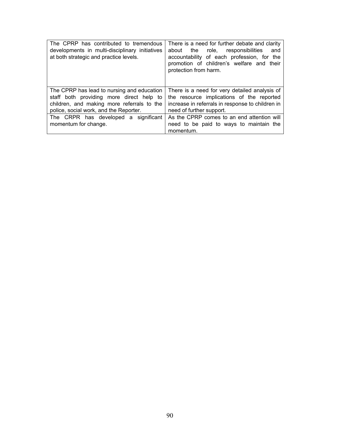| The CPRP has contributed to tremendous<br>developments in multi-disciplinary initiatives<br>at both strategic and practice levels.                                             | There is a need for further debate and clarity<br>the role, responsibilities<br>about<br>and<br>accountability of each profession, for the<br>promotion of children's welfare and their<br>protection from harm. |
|--------------------------------------------------------------------------------------------------------------------------------------------------------------------------------|------------------------------------------------------------------------------------------------------------------------------------------------------------------------------------------------------------------|
| The CPRP has lead to nursing and education<br>staff both providing more direct help to<br>children, and making more referrals to the<br>police, social work, and the Reporter. | There is a need for very detailed analysis of<br>the resource implications of the reported<br>increase in referrals in response to children in<br>need of further support.                                       |
| The CRPR has developed a significant<br>momentum for change.                                                                                                                   | As the CPRP comes to an end attention will<br>need to be paid to ways to maintain the<br>momentum.                                                                                                               |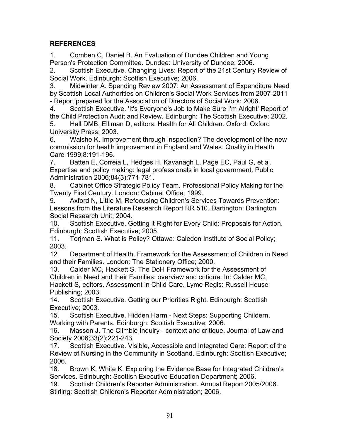## **REFERENCES**

1. Comben C, Daniel B. An Evaluation of Dundee Children and Young Person's Protection Committee. Dundee: University of Dundee; 2006.

2. Scottish Executive. Changing Lives: Report of the 21st Century Review of Social Work. Edinburgh: Scottish Executive; 2006.

3. Midwinter A. Spending Review 2007: An Assessment of Expenditure Need by Scottish Local Authorities on Children's Social Work Services from 2007-2011 - Report prepared for the Association of Directors of Social Work; 2006.

4. Scottish Executive. 'It's Everyone's Job to Make Sure I'm Alright' Report of the Child Protection Audit and Review. Edinburgh: The Scottish Executive; 2002.

5. Hall DMB, Elliman D, editors. Health for All Children. Oxford: Oxford University Press; 2003.

6. Walshe K. Improvement through inspection? The development of the new commission for health improvement in England and Wales. Quality in Health Care 1999;8:191-196.

7. Batten E, Correia L, Hedges H, Kavanagh L, Page EC, Paul G, et al. Expertise and policy making: legal professionals in local government. Public Administration 2006;84(3):771-781.

8. Cabinet Office Strategic Policy Team. Professional Policy Making for the Twenty First Century. London: Cabinet Office; 1999.

9. Axford N, Little M. Refocusing Children's Services Towards Prevention: Lessons from the Literature Research Report RR 510. Dartington: Darlington Social Research Unit; 2004.

10. Scottish Executive. Getting it Right for Every Child: Proposals for Action. Edinburgh: Scottish Executive; 2005.

11. Torjman S. What is Policy? Ottawa: Caledon Institute of Social Policy; 2003.

12. Department of Health. Framework for the Assessment of Children in Need and their Families. London: The Stationery Office; 2000.

13. Calder MC, Hackett S. The DoH Framework for the Assessment of Children in Need and their Families: overview and critique. In: Calder MC, Hackett S, editors. Assessment in Child Care. Lyme Regis: Russell House Publishing; 2003.

14. Scottish Executive. Getting our Priorities Right. Edinburgh: Scottish Executive; 2003.

15. Scottish Executive. Hidden Harm - Next Steps: Supporting Childern, Working with Parents. Edinburgh: Scottish Executive; 2006.

16. Masson J. The Climbié Inquiry - context and critique. Journal of Law and Society 2006;33(2):221-243.

17. Scottish Executive. Visible, Accessible and Integrated Care: Report of the Review of Nursing in the Community in Scotland. Edinburgh: Scottish Executive; 2006.

18. Brown K, White K. Exploring the Evidence Base for Integrated Children's Services. Edinburgh: Scottish Executive Education Department; 2006.

19. Scottish Children's Reporter Administration. Annual Report 2005/2006. Stirling: Scottish Children's Reporter Administration; 2006.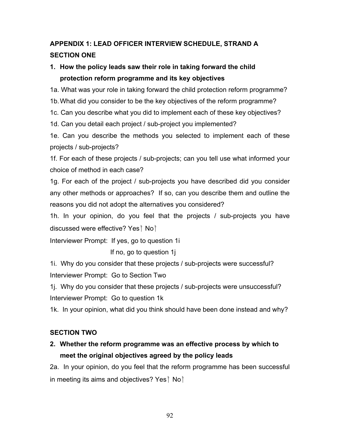# **APPENDIX 1: LEAD OFFICER INTERVIEW SCHEDULE, STRAND A SECTION ONE**

## **1. How the policy leads saw their role in taking forward the child protection reform programme and its key objectives**

1a. What was your role in taking forward the child protection reform programme?

1b. What did you consider to be the key objectives of the reform programme?

1c. Can you describe what you did to implement each of these key objectives?

1d. Can you detail each project / sub-project you implemented?

1e. Can you describe the methods you selected to implement each of these projects / sub-projects?

1f. For each of these projects / sub-projects; can you tell use what informed your choice of method in each case?

1g. For each of the project / sub-projects you have described did you consider any other methods or approaches? If so, can you describe them and outline the reasons you did not adopt the alternatives you considered?

1h. In your opinion, do you feel that the projects / sub-projects you have discussed were effective? Yes $\dagger$  No $\dagger$ 

Interviewer Prompt: If yes, go to question 1i

If no, go to question 1j

1i. Why do you consider that these projects / sub-projects were successful? Interviewer Prompt: Go to Section Two

1j. Why do you consider that these projects / sub-projects were unsuccessful? Interviewer Prompt: Go to question 1k

1k. In your opinion, what did you think should have been done instead and why?

## **SECTION TWO**

# **2. Whether the reform programme was an effective process by which to meet the original objectives agreed by the policy leads**

2a. In your opinion, do you feel that the reform programme has been successful in meeting its aims and objectives? Yes $\dagger$  No $\dagger$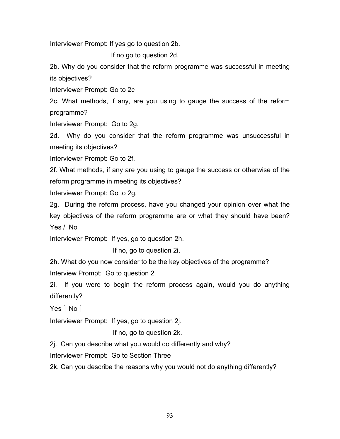Interviewer Prompt: If yes go to question 2b.

If no go to question 2d.

2b. Why do you consider that the reform programme was successful in meeting its objectives?

Interviewer Prompt: Go to 2c

2c. What methods, if any, are you using to gauge the success of the reform programme?

Interviewer Prompt: Go to 2g.

2d. Why do you consider that the reform programme was unsuccessful in meeting its objectives?

Interviewer Prompt: Go to 2f.

2f. What methods, if any are you using to gauge the success or otherwise of the reform programme in meeting its objectives?

Interviewer Prompt: Go to 2g.

2g. During the reform process, have you changed your opinion over what the key objectives of the reform programme are or what they should have been? Yes / No

Interviewer Prompt: If yes, go to question 2h.

If no, go to question 2i.

2h. What do you now consider to be the key objectives of the programme? Interview Prompt: Go to question 2i

2i. If you were to begin the reform process again, would you do anything differently?

Yes  $\dagger$  No  $\dagger$ 

Interviewer Prompt: If yes, go to question 2j.

If no, go to question 2k.

2j. Can you describe what you would do differently and why?

Interviewer Prompt: Go to Section Three

2k. Can you describe the reasons why you would not do anything differently?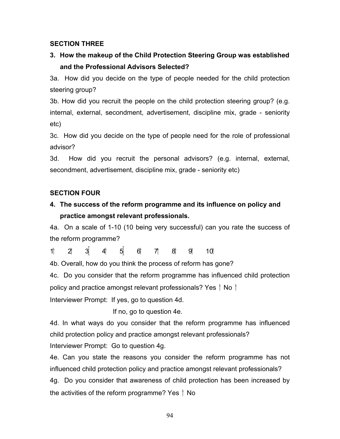### **SECTION THREE**

## **3. How the makeup of the Child Protection Steering Group was established and the Professional Advisors Selected?**

3a. How did you decide on the type of people needed for the child protection steering group?

3b. How did you recruit the people on the child protection steering group? (e.g. internal, external, secondment, advertisement, discipline mix, grade - seniority etc)

3c. How did you decide on the type of people need for the role of professional advisor?

3d. How did you recruit the personal advisors? (e.g. internal, external, secondment, advertisement, discipline mix, grade - seniority etc)

### **SECTION FOUR**

## **4. The success of the reform programme and its influence on policy and practice amongst relevant professionals.**

4a. On a scale of 1-10 (10 being very successful) can you rate the success of the reform programme?

 $1 + 2 + 3 + 4 + 5 + 6 + 7 + 8 + 9 + 10$ 

4b. Overall, how do you think the process of reform has gone?

4c. Do you consider that the reform programme has influenced child protection policy and practice amongst relevant professionals? Yes  $\dagger$  No  $\dagger$ 

Interviewer Prompt: If yes, go to question 4d.

If no, go to question 4e.

4d. In what ways do you consider that the reform programme has influenced child protection policy and practice amongst relevant professionals?

Interviewer Prompt: Go to question 4g.

4e. Can you state the reasons you consider the reform programme has not influenced child protection policy and practice amongst relevant professionals? 4g. Do you consider that awareness of child protection has been increased by

the activities of the reform programme? Yes  $\dagger$  No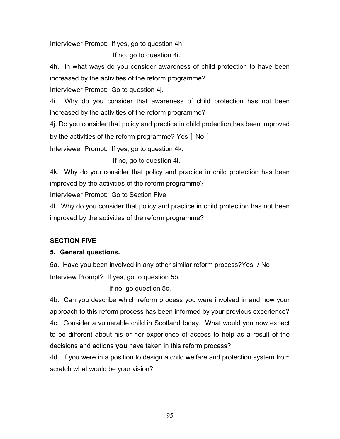Interviewer Prompt: If yes, go to question 4h.

If no, go to question 4i.

4h. In what ways do you consider awareness of child protection to have been increased by the activities of the reform programme?

Interviewer Prompt: Go to question 4j.

4i. Why do you consider that awareness of child protection has not been increased by the activities of the reform programme?

4j. Do you consider that policy and practice in child protection has been improved by the activities of the reform programme? Yes  $\dagger$  No  $\dagger$ 

Interviewer Prompt: If yes, go to question 4k.

If no, go to question 4l.

4k. Why do you consider that policy and practice in child protection has been improved by the activities of the reform programme?

Interviewer Prompt: Go to Section Five

4l. Why do you consider that policy and practice in child protection has not been improved by the activities of the reform programme?

## **SECTION FIVE**

### **5. General questions.**

5a. Have you been involved in any other similar reform process?Yes / No Interview Prompt? If yes, go to question 5b.

If no, go question 5c.

4b. Can you describe which reform process you were involved in and how your approach to this reform process has been informed by your previous experience? 4c. Consider a vulnerable child in Scotland today. What would you now expect to be different about his or her experience of access to help as a result of the decisions and actions **you** have taken in this reform process?

4d. If you were in a position to design a child welfare and protection system from scratch what would be your vision?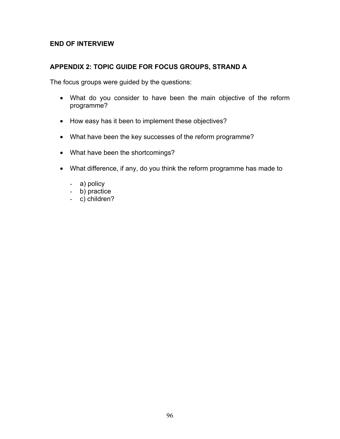### **END OF INTERVIEW**

### **APPENDIX 2: TOPIC GUIDE FOR FOCUS GROUPS, STRAND A**

The focus groups were guided by the questions:

- What do you consider to have been the main objective of the reform programme?
- How easy has it been to implement these objectives?
- What have been the key successes of the reform programme?
- What have been the shortcomings?
- What difference, if any, do you think the reform programme has made to
	- a) policy
	- b) practice
	- c) children?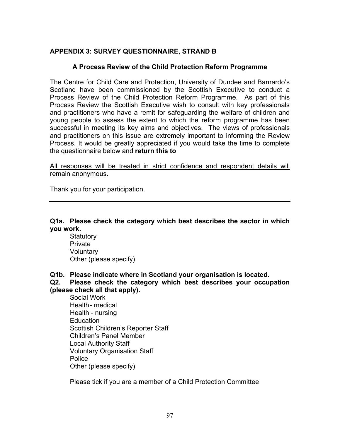### **APPENDIX 3: SURVEY QUESTIONNAIRE, STRAND B**

### **A Process Review of the Child Protection Reform Programme**

The Centre for Child Care and Protection, University of Dundee and Barnardo's Scotland have been commissioned by the Scottish Executive to conduct a Process Review of the Child Protection Reform Programme. As part of this Process Review the Scottish Executive wish to consult with key professionals and practitioners who have a remit for safeguarding the welfare of children and young people to assess the extent to which the reform programme has been successful in meeting its key aims and objectives. The views of professionals and practitioners on this issue are extremely important to informing the Review Process. It would be greatly appreciated if you would take the time to complete the questionnaire below and **return this to**

All responses will be treated in strict confidence and respondent details will remain anonymous.

Thank you for your participation.

### **Q1a. Please check the category which best describes the sector in which you work.**

**Statutory Private Voluntary** Other (please specify)

**Q1b. Please indicate where in Scotland your organisation is located.** 

**Q2. Please check the category which best describes your occupation (please check all that apply).** 

 Social Work Health - medical Health - nursing **Education**  Scottish Children's Reporter Staff Children's Panel Member Local Authority Staff Voluntary Organisation Staff Police Other (please specify)

Please tick if you are a member of a Child Protection Committee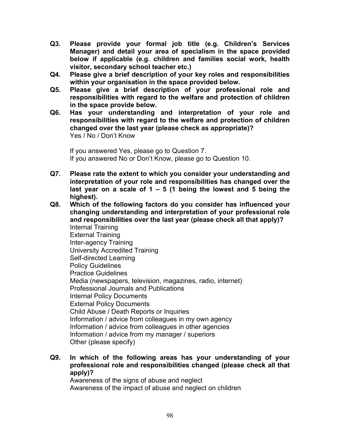- **Q3. Please provide your formal job title (e.g. Children's Services Manager) and detail your area of specialism in the space provided below if applicable (e.g. children and families social work, health visitor, secondary school teacher etc.)**
- **Q4. Please give a brief description of your key roles and responsibilities within your organisation in the space provided below.**
- **Q5. Please give a brief description of your professional role and responsibilities with regard to the welfare and protection of children in the space provide below.**
- **Q6. Has your understanding and interpretation of your role and responsibilities with regard to the welfare and protection of children changed over the last year (please check as appropriate)?**  Yes / No / Don't Know

 If you answered Yes, please go to Question 7. If you answered No or Don't Know, please go to Question 10.

- **Q7. Please rate the extent to which you consider your understanding and interpretation of your role and responsibilities has changed over the last year on a scale of 1 – 5 (1 being the lowest and 5 being the highest).**
- **Q8. Which of the following factors do you consider has influenced your changing understanding and interpretation of your professional role and responsibilities over the last year (please check all that apply)?**  Internal Training External Training Inter-agency Training University Accredited Training Self-directed Learning Policy Guidelines Practice Guidelines Media (newspapers, television, magazines, radio, internet) Professional Journals and Publications Internal Policy Documents External Policy Documents Child Abuse / Death Reports or Inquiries Information / advice from colleagues in my own agency Information / advice from colleagues in other agencies Information / advice from my manager / superiors Other (please specify)
- **Q9. In which of the following areas has your understanding of your professional role and responsibilities changed (please check all that apply)?**

 Awareness of the signs of abuse and neglect Awareness of the impact of abuse and neglect on children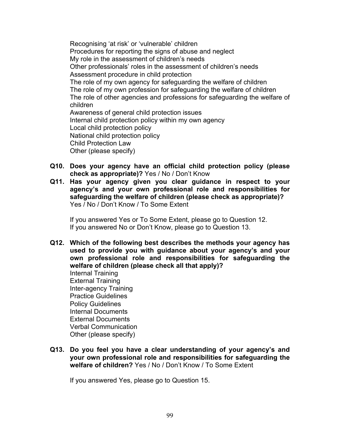Recognising 'at risk' or 'vulnerable' children Procedures for reporting the signs of abuse and neglect My role in the assessment of children's needs Other professionals' roles in the assessment of children's needs Assessment procedure in child protection The role of my own agency for safeguarding the welfare of children The role of my own profession for safeguarding the welfare of children The role of other agencies and professions for safeguarding the welfare of children Awareness of general child protection issues Internal child protection policy within my own agency Local child protection policy National child protection policy Child Protection Law Other (please specify)

- **Q10. Does your agency have an official child protection policy (please check as appropriate)?** Yes / No / Don't Know
- **Q11. Has your agency given you clear guidance in respect to your agency's and your own professional role and responsibilities for safeguarding the welfare of children (please check as appropriate)?**  Yes / No / Don't Know / To Some Extent

 If you answered Yes or To Some Extent, please go to Question 12. If you answered No or Don't Know, please go to Question 13.

**Q12. Which of the following best describes the methods your agency has used to provide you with guidance about your agency's and your own professional role and responsibilities for safeguarding the welfare of children (please check all that apply)?**  Internal Training

 External Training Inter-agency Training Practice Guidelines Policy Guidelines Internal Documents External Documents Verbal Communication Other (please specify)

**Q13. Do you feel you have a clear understanding of your agency's and your own professional role and responsibilities for safeguarding the welfare of children?** Yes / No / Don't Know / To Some Extent

If you answered Yes, please go to Question 15.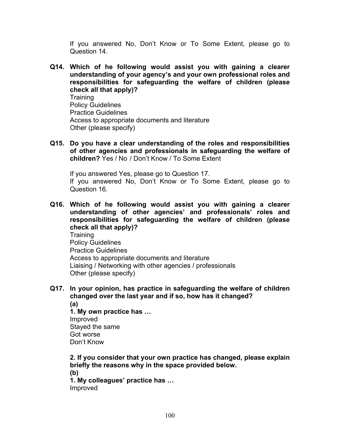If you answered No, Don't Know or To Some Extent, please go to Question 14.

**Q14. Which of he following would assist you with gaining a clearer understanding of your agency's and your own professional roles and responsibilities for safeguarding the welfare of children (please check all that apply)? Training** Policy Guidelines

 Practice Guidelines Access to appropriate documents and literature Other (please specify)

**Q15. Do you have a clear understanding of the roles and responsibilities of other agencies and professionals in safeguarding the welfare of children?** Yes / No / Don't Know / To Some Extent

 If you answered Yes, please go to Question 17. If you answered No, Don't Know or To Some Extent, please go to Question 16.

**Q16. Which of he following would assist you with gaining a clearer understanding of other agencies' and professionals' roles and responsibilities for safeguarding the welfare of children (please check all that apply)? Training**  Policy Guidelines Practice Guidelines Access to appropriate documents and literature Liaising / Networking with other agencies / professionals

- Other (please specify)
- **Q17. In your opinion, has practice in safeguarding the welfare of children changed over the last year and if so, how has it changed? (a)**

**1. My own practice has …**  Improved Stayed the same Got worse Don't Know

**2. If you consider that your own practice has changed, please explain briefly the reasons why in the space provided below. (b)** 

 **1. My colleagues' practice has …**  Improved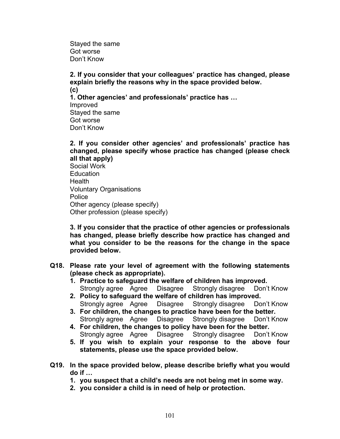Stayed the same Got worse Don't Know

**2. If you consider that your colleagues' practice has changed, please explain briefly the reasons why in the space provided below. (c) 1. Other agencies' and professionals' practice has …**  Improved Stayed the same Got worse Don't Know

**2. If you consider other agencies' and professionals' practice has changed, please specify whose practice has changed (please check all that apply)** 

 Social Work **Education**  Health Voluntary Organisations Police Other agency (please specify) Other profession (please specify)

**3. If you consider that the practice of other agencies or professionals has changed, please briefly describe how practice has changed and what you consider to be the reasons for the change in the space provided below.** 

- **Q18. Please rate your level of agreement with the following statements (please check as appropriate).** 
	- **1. Practice to safeguard the welfare of children has improved.**  Strongly agree Agree Disagree Strongly disagree Don't Know
	- **2. Policy to safeguard the welfare of children has improved.**  Strongly agree Agree Disagree Strongly disagree Don't Know
	- **3. For children, the changes to practice have been for the better.**  Strongly agree Agree Disagree Strongly disagree Don't Know
	- **4. For children, the changes to policy have been for the better.**  Strongly agree Agree Disagree Strongly disagree Don't Know
	- **5. If you wish to explain your response to the above four statements, please use the space provided below.**
- **Q19. In the space provided below, please describe briefly what you would do if …** 
	- **1. you suspect that a child's needs are not being met in some way.**
	- **2. you consider a child is in need of help or protection.**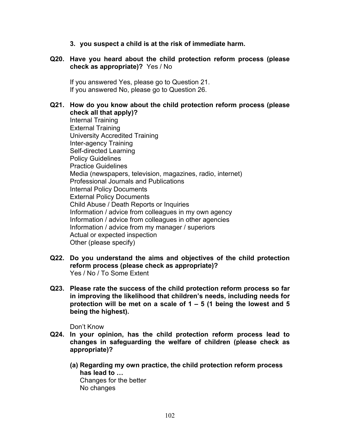**3. you suspect a child is at the risk of immediate harm.** 

### **Q20. Have you heard about the child protection reform process (please check as appropriate)?** Yes / No

 If you answered Yes, please go to Question 21. If you answered No, please go to Question 26.

#### **Q21. How do you know about the child protection reform process (please check all that apply)?**

 Internal Training External Training University Accredited Training Inter-agency Training Self-directed Learning Policy Guidelines Practice Guidelines Media (newspapers, television, magazines, radio, internet) Professional Journals and Publications Internal Policy Documents External Policy Documents Child Abuse / Death Reports or Inquiries Information / advice from colleagues in my own agency Information / advice from colleagues in other agencies Information / advice from my manager / superiors Actual or expected inspection Other (please specify)

- **Q22. Do you understand the aims and objectives of the child protection reform process (please check as appropriate)?**  Yes / No / To Some Extent
- **Q23. Please rate the success of the child protection reform process so far in improving the likelihood that children's needs, including needs for protection will be met on a scale of 1 – 5 (1 being the lowest and 5 being the highest).**

Don't Know

- **Q24. In your opinion, has the child protection reform process lead to changes in safeguarding the welfare of children (please check as appropriate)?** 
	- **(a) Regarding my own practice, the child protection reform process has lead to …**  Changes for the better No changes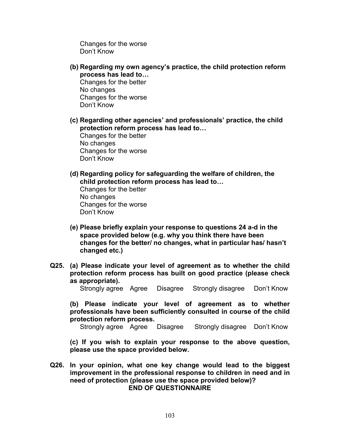Changes for the worse Don't Know

**(b) Regarding my own agency's practice, the child protection reform process has lead to…**  Changes for the better

No changes Changes for the worse Don't Know

**(c) Regarding other agencies' and professionals' practice, the child protection reform process has lead to…** 

Changes for the better No changes Changes for the worse Don't Know

- **(d) Regarding policy for safeguarding the welfare of children, the child protection reform process has lead to…**  Changes for the better No changes Changes for the worse Don't Know
- **(e) Please briefly explain your response to questions 24 a-d in the space provided below (e.g. why you think there have been changes for the better/ no changes, what in particular has/ hasn't changed etc.)**
- **Q25. (a) Please indicate your level of agreement as to whether the child protection reform process has built on good practice (please check as appropriate).**

Strongly agree Agree Disagree Strongly disagree Don't Know

**(b) Please indicate your level of agreement as to whether professionals have been sufficiently consulted in course of the child protection reform process.** 

Strongly agree Agree Disagree Strongly disagree Don't Know

**(c) If you wish to explain your response to the above question, please use the space provided below.** 

**Q26. In your opinion, what one key change would lead to the biggest improvement in the professional response to children in need and in need of protection (please use the space provided below)? END OF QUESTIONNAIRE**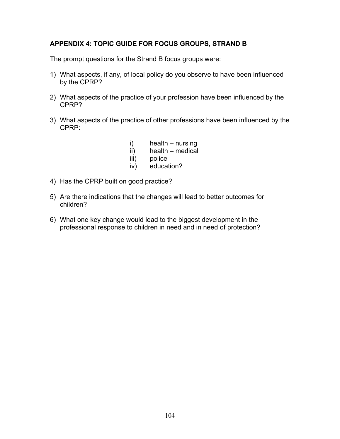### **APPENDIX 4: TOPIC GUIDE FOR FOCUS GROUPS, STRAND B**

The prompt questions for the Strand B focus groups were:

- 1) What aspects, if any, of local policy do you observe to have been influenced by the CPRP?
- 2) What aspects of the practice of your profession have been influenced by the CPRP?
- 3) What aspects of the practice of other professions have been influenced by the CPRP:
	- i) health nursing
	- ii) health medical
	- iii) police
	- iv) education?
- 4) Has the CPRP built on good practice?
- 5) Are there indications that the changes will lead to better outcomes for children?
- 6) What one key change would lead to the biggest development in the professional response to children in need and in need of protection?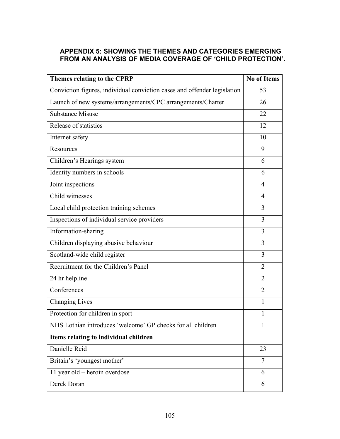## **APPENDIX 5: SHOWING THE THEMES AND CATEGORIES EMERGING FROM AN ANALYSIS OF MEDIA COVERAGE OF 'CHILD PROTECTION'.**

| Themes relating to the CPRP                                              | <b>No of Items</b> |
|--------------------------------------------------------------------------|--------------------|
| Conviction figures, individual conviction cases and offender legislation | 53                 |
| Launch of new systems/arrangements/CPC arrangements/Charter              | 26                 |
| Substance Misuse                                                         | 22                 |
| Release of statistics                                                    | 12                 |
| Internet safety                                                          | 10                 |
| Resources                                                                | 9                  |
| Children's Hearings system                                               | 6                  |
| Identity numbers in schools                                              | 6                  |
| Joint inspections                                                        | $\overline{4}$     |
| Child witnesses                                                          | $\overline{4}$     |
| Local child protection training schemes                                  | 3                  |
| Inspections of individual service providers                              | 3                  |
| Information-sharing                                                      | 3                  |
| Children displaying abusive behaviour                                    | 3                  |
| Scotland-wide child register                                             | 3                  |
| Recruitment for the Children's Panel                                     | $\overline{2}$     |
| 24 hr helpline                                                           | $\overline{2}$     |
| Conferences                                                              | $\overline{2}$     |
| <b>Changing Lives</b>                                                    | 1                  |
| Protection for children in sport                                         | 1                  |
| NHS Lothian introduces 'welcome' GP checks for all children              | 1                  |
| Items relating to individual children                                    |                    |
| Danielle Reid                                                            | 23                 |
| Britain's 'youngest mother'                                              | $\overline{7}$     |
| 11 year old – heroin overdose                                            | 6                  |
| Derek Doran                                                              | 6                  |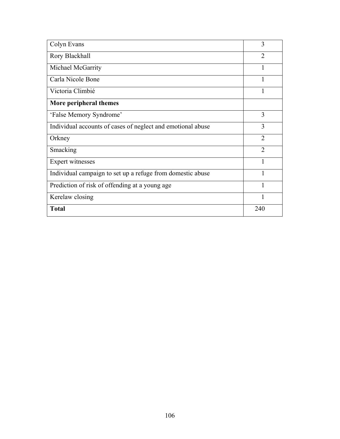| Colyn Evans                                                 | 3              |
|-------------------------------------------------------------|----------------|
| Rory Blackhall                                              | $\overline{2}$ |
| Michael McGarrity                                           | $\mathbf{1}$   |
| Carla Nicole Bone                                           |                |
| Victoria Climbié                                            | 1              |
| More peripheral themes                                      |                |
| 'False Memory Syndrome'                                     | 3              |
| Individual accounts of cases of neglect and emotional abuse | 3              |
| Orkney                                                      | $\overline{2}$ |
| Smacking                                                    | $\overline{2}$ |
| Expert witnesses                                            | 1              |
| Individual campaign to set up a refuge from domestic abuse  |                |
| Prediction of risk of offending at a young age              | 1              |
| Kerelaw closing                                             |                |
| <b>Total</b>                                                | 240            |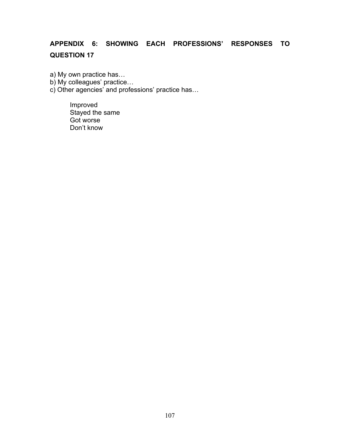# **APPENDIX 6: SHOWING EACH PROFESSIONS' RESPONSES TO QUESTION 17**

- a) My own practice has…
- b) My colleagues' practice…
- c) Other agencies' and professions' practice has…

Improved Stayed the same Got worse Don't know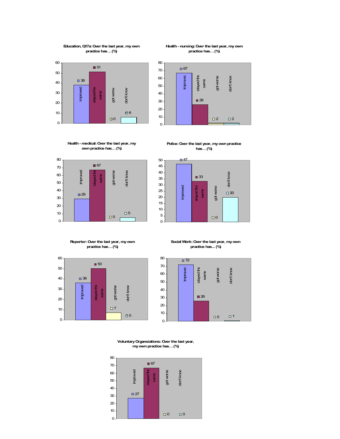### **Education, Q17a: Over the last year, my own practice has… (%)**



### **Health - nursing: Over the last year, my own practice has… (%)**



# **Health - medical: Over the last year, my own practice has… (%)**







**Reporter: Over the last year, my own practice has… (%)**



**Social Work: Over the last year, my own practice has... (%)**



**Voluntary Organsiations: Over the last year, my own practice has… (%)**

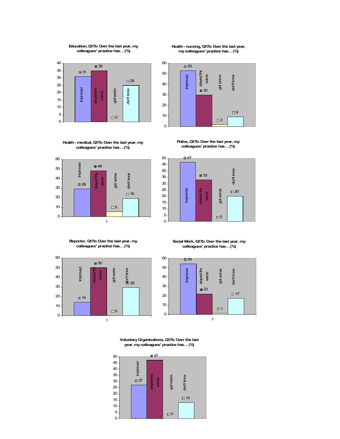# **Education, Q17b: Over the last year, my colleagues' practice has… (%)**



### **Health - medical, Q17b: Over the last year, my colleagues' practice has… (%)**



**Reporter, Q17b: Over the last year, my colleagues' practice has… (%)** 



**Social Work, Q17b: Over the last year, my colleagues' practice has… (%)** 



**Voluntary Organisations, Q17b: Over the last year, my colleagues' practice has… (%)** 



**Health - nursing, Q17b: Over the last year, my colleagues' practice has… (%)** 



**Police, Q17b: Over the last year, my colleagues' practice has… (%)** 



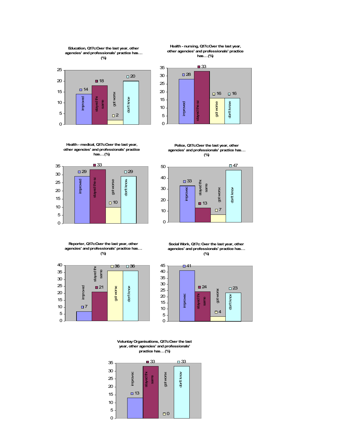

**Education, Q17c:Over the last year, other agencies' and professionals' practice has…** 





**Health - nursing, Q17c:Over the last year, other agencies' and professionals' practice has… (%)**



**Police, Q17c:Over the last year, other agencies' and professionals' practice has… (%)**





**Reporter, Q17c:Over the last year, other agencies' and professionals' practice has… (%)**







**Voluntay Organisations, Q17c:Over the last year, other agencies' and professionals' practice has… (%)**

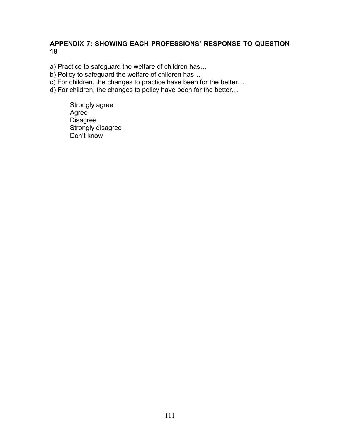# **APPENDIX 7: SHOWING EACH PROFESSIONS' RESPONSE TO QUESTION 18**

a) Practice to safeguard the welfare of children has…

b) Policy to safeguard the welfare of children has...

c) For children, the changes to practice have been for the better…

d) For children, the changes to policy have been for the better…

Strongly agree Agree **Disagree** Strongly disagree Don't know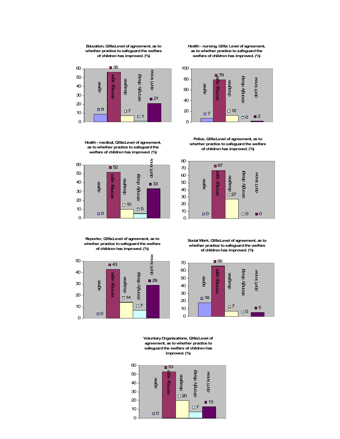### **Education, Q18a:Level of agreement, as to whether practice to safeguard the welfare of children has improved. (%)**



**Health - medical, Q18a:Level of agreement, as to whether practice to safeguard the welfare of children has improved. (%)**



**Reporter, Q18a:Level of agreement, as to whether practice to safeguard the welfare of children has improved. (%)**



**Health - nursing, Q18a: Level of agreement, as to whether practice to safeguard the welfare of children has improved. (%)**



**Police, Q18a:Level of agreement, as to whether practice to safeguard the welfare of children has improved. (%)**



**Social Work, Q18a:Level of agreement, as to whether practice to safeguard the welfare of children has improved. (%)**



**Voluntary Organisations, Q18a:Level of agreement, as to whether practice to safeguard the welfare of children has improved. (%)**

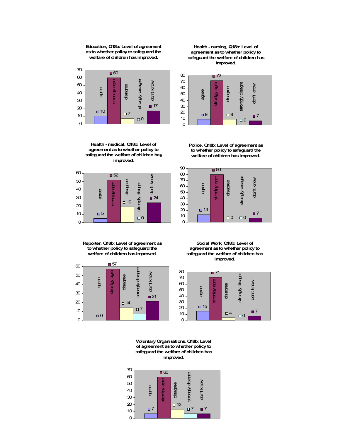### **Education, Q18b: Level of agreement as to whether policy to safeguard the welfare of children has improved.**



**Health - medical, Q18b: Level of agreement as to whether policy to safeguard the welfare of children has improved.**



**Reporter, Q18b: Level of agreement as to whether policy to safeguard the welfare of children has improved.** 



**Health - nursing, Q18b: Level of agreement as to whether policy to safeguard the welfare of children has improved.**



**Police, Q18b: Level of agreement as to whether policy to safeguard the welfare of children has improved.**



**Social Work, Q18b: Level of agreement as to whether policy to safeguard the welfare of children has improved.**



**Voluntary Organisations, Q18b: Level of agreement as to whether policy to safeguard the welfare of children has improved.** 

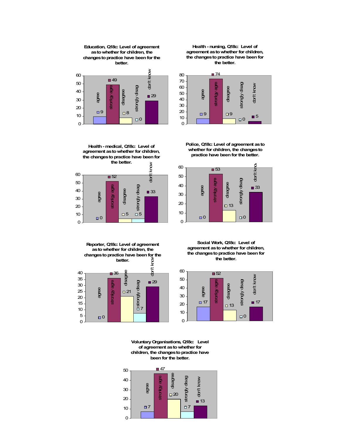# **Education, Q18c: Level of agreement as to whether for children, the changes to practice have been for the better.**



**Health - nursing, Q18c: Level of agreement as to whether for children, the changes to practice have been for the better.** 



**Health - medical, Q18c: Level of agreement as to whether for children, the changes to practice have been for the better.** 



**Police, Q18c: Level of agreement as to whether for children, the changes to practice have been for the better.** 



**Reporter, Q18c: Level of agreement as to whether for children, the changes to practice have been for the better.** 



**Social Work, Q18c: Level of agreement as to whether for children, the changes to practice have been for the better.**



**Voluntary Organisations, Q18c: Level of agreement as to whether for children, the changes to practice have been for the better.**

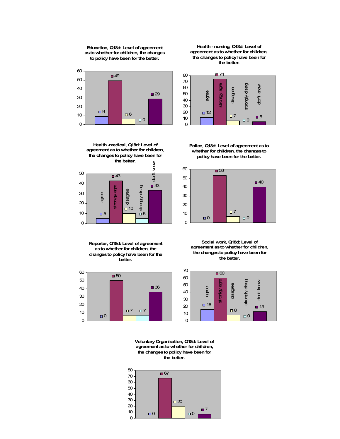# **Education, Q18d: Level of agreement as to whether for children, the changes to policy have been for the better.**



**Health - nursing, Q18d: Level of agreement as to whether for children, the changes to policy have been for the better.** 



**Health -medical, Q18d: Level of agreement as to whether for children, the changes to policy have been for the better.**  know don't know ■43



**Reporter, Q18d: Level of agreement as to whether for children, the changes to policy have been for the better.** 



**Police, Q18d: Level of agreement as to whether for children, the changes to policy have been for the better.** 



**Social work, Q18d: Level of agreement as to whether for children, the changes to policy have been for the better.** 



**Voluntary Organisation, Q18d: Level of agreement as to whether for children, the changes to policy have been for the better.**